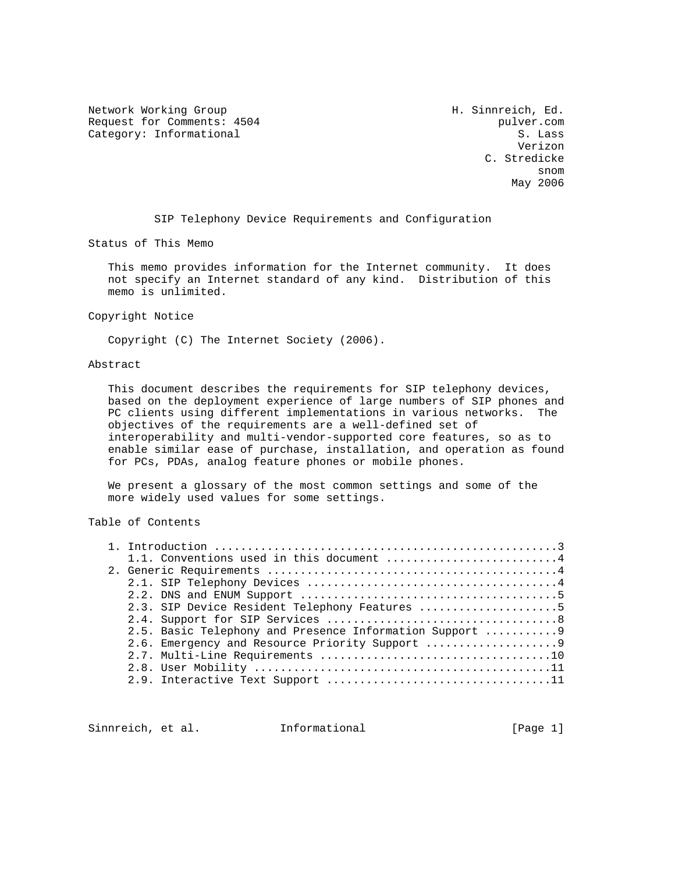Network Working Group Network Working Group H. Sinnreich, Ed. Request for Comments: 4504 pulver.com<br>
Category: Informational S. Lass Category: Informational

 Verizon C. Stredicke snom and the snow state of the state of the state of the state of the state of the state of the state of the s May 2006

SIP Telephony Device Requirements and Configuration

Status of This Memo

 This memo provides information for the Internet community. It does not specify an Internet standard of any kind. Distribution of this memo is unlimited.

Copyright Notice

Copyright (C) The Internet Society (2006).

### Abstract

 This document describes the requirements for SIP telephony devices, based on the deployment experience of large numbers of SIP phones and PC clients using different implementations in various networks. The objectives of the requirements are a well-defined set of interoperability and multi-vendor-supported core features, so as to enable similar ease of purchase, installation, and operation as found for PCs, PDAs, analog feature phones or mobile phones.

 We present a glossary of the most common settings and some of the more widely used values for some settings.

# Table of Contents

| 1.1. Conventions used in this document 4                 |
|----------------------------------------------------------|
|                                                          |
|                                                          |
|                                                          |
| 2.3. SIP Device Resident Telephony Features 5            |
|                                                          |
| 2.5. Basic Telephony and Presence Information Support  9 |
|                                                          |
|                                                          |
|                                                          |
|                                                          |

Sinnreich, et al. Informational [Page 1]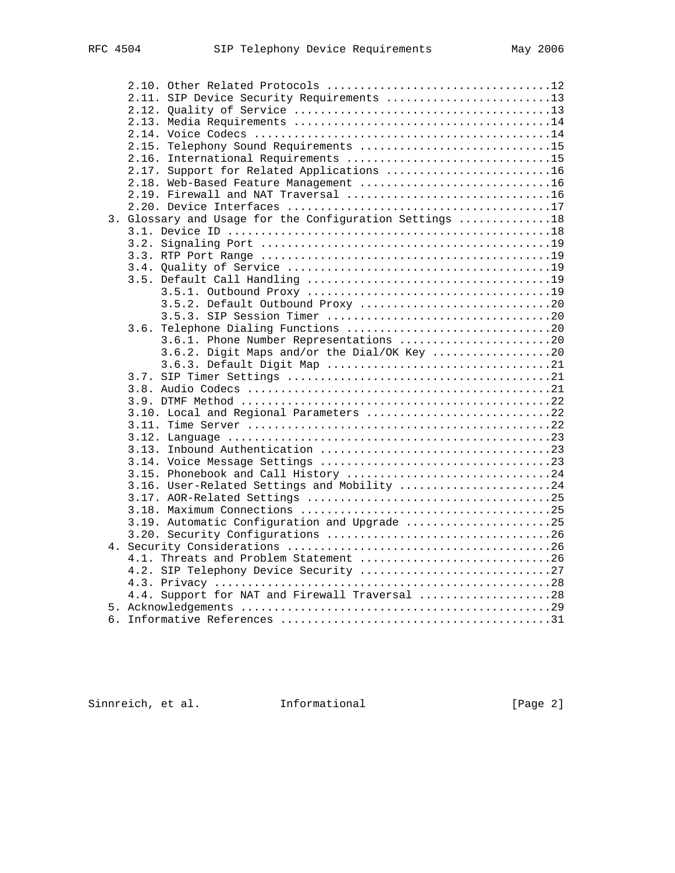|    | 2.11. SIP Device Security Requirements 13               |
|----|---------------------------------------------------------|
|    |                                                         |
|    |                                                         |
|    |                                                         |
|    | 2.15. Telephony Sound Requirements 15                   |
|    | 2.16. International Requirements 15                     |
|    | 2.17. Support for Related Applications 16               |
|    | 2.18. Web-Based Feature Management 16                   |
|    | 2.19. Firewall and NAT Traversal 16                     |
|    |                                                         |
|    | 3. Glossary and Usage for the Configuration Settings 18 |
|    |                                                         |
|    |                                                         |
|    |                                                         |
|    |                                                         |
|    |                                                         |
|    |                                                         |
|    | 3.5.2. Default Outbound Proxy 20                        |
|    |                                                         |
|    |                                                         |
|    | 3.6.1. Phone Number Representations 20                  |
|    | 3.6.2. Digit Maps and/or the Dial/OK Key 20             |
|    |                                                         |
|    |                                                         |
|    |                                                         |
|    |                                                         |
|    | 3.10. Local and Regional Parameters 22                  |
|    |                                                         |
|    |                                                         |
|    |                                                         |
|    |                                                         |
|    | 3.15. Phonebook and Call History 24                     |
|    | 3.16. User-Related Settings and Mobility 24             |
|    |                                                         |
|    |                                                         |
|    | 3.19. Automatic Configuration and Upgrade 25            |
|    |                                                         |
|    |                                                         |
|    | 4.1. Threats and Problem Statement 26                   |
|    | 4.2. SIP Telephony Device Security 27                   |
|    | 4.4. Support for NAT and Firewall Traversal 28          |
|    |                                                         |
| б. |                                                         |
|    |                                                         |

Sinnreich, et al. 1nformational [Page 2]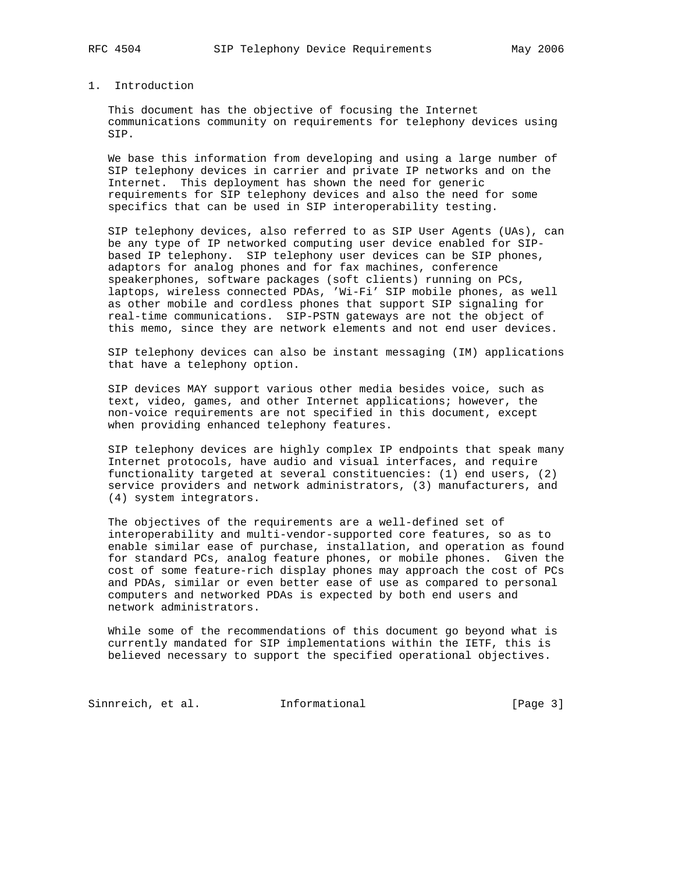## 1. Introduction

 This document has the objective of focusing the Internet communications community on requirements for telephony devices using SIP.

 We base this information from developing and using a large number of SIP telephony devices in carrier and private IP networks and on the Internet. This deployment has shown the need for generic requirements for SIP telephony devices and also the need for some specifics that can be used in SIP interoperability testing.

 SIP telephony devices, also referred to as SIP User Agents (UAs), can be any type of IP networked computing user device enabled for SIP based IP telephony. SIP telephony user devices can be SIP phones, adaptors for analog phones and for fax machines, conference speakerphones, software packages (soft clients) running on PCs, laptops, wireless connected PDAs, 'Wi-Fi' SIP mobile phones, as well as other mobile and cordless phones that support SIP signaling for real-time communications. SIP-PSTN gateways are not the object of this memo, since they are network elements and not end user devices.

 SIP telephony devices can also be instant messaging (IM) applications that have a telephony option.

 SIP devices MAY support various other media besides voice, such as text, video, games, and other Internet applications; however, the non-voice requirements are not specified in this document, except when providing enhanced telephony features.

 SIP telephony devices are highly complex IP endpoints that speak many Internet protocols, have audio and visual interfaces, and require functionality targeted at several constituencies: (1) end users, (2) service providers and network administrators, (3) manufacturers, and (4) system integrators.

 The objectives of the requirements are a well-defined set of interoperability and multi-vendor-supported core features, so as to enable similar ease of purchase, installation, and operation as found for standard PCs, analog feature phones, or mobile phones. Given the cost of some feature-rich display phones may approach the cost of PCs and PDAs, similar or even better ease of use as compared to personal computers and networked PDAs is expected by both end users and network administrators.

 While some of the recommendations of this document go beyond what is currently mandated for SIP implementations within the IETF, this is believed necessary to support the specified operational objectives.

Sinnreich, et al. 1nformational 1999 [Page 3]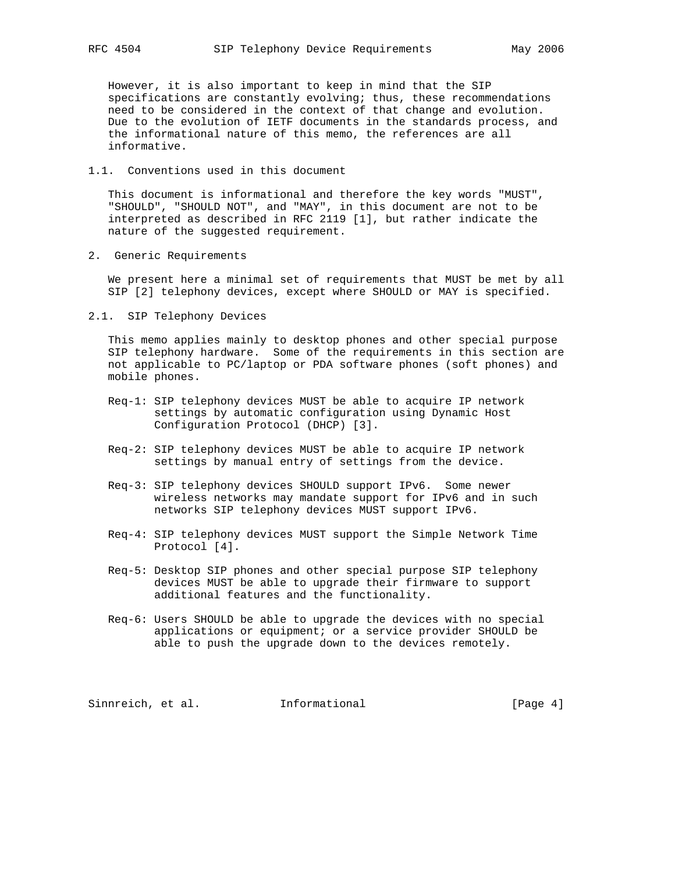However, it is also important to keep in mind that the SIP specifications are constantly evolving; thus, these recommendations need to be considered in the context of that change and evolution. Due to the evolution of IETF documents in the standards process, and the informational nature of this memo, the references are all informative.

1.1. Conventions used in this document

 This document is informational and therefore the key words "MUST", "SHOULD", "SHOULD NOT", and "MAY", in this document are not to be interpreted as described in RFC 2119 [1], but rather indicate the nature of the suggested requirement.

2. Generic Requirements

 We present here a minimal set of requirements that MUST be met by all SIP [2] telephony devices, except where SHOULD or MAY is specified.

2.1. SIP Telephony Devices

 This memo applies mainly to desktop phones and other special purpose SIP telephony hardware. Some of the requirements in this section are not applicable to PC/laptop or PDA software phones (soft phones) and mobile phones.

- Req-1: SIP telephony devices MUST be able to acquire IP network settings by automatic configuration using Dynamic Host Configuration Protocol (DHCP) [3].
- Req-2: SIP telephony devices MUST be able to acquire IP network settings by manual entry of settings from the device.
- Req-3: SIP telephony devices SHOULD support IPv6. Some newer wireless networks may mandate support for IPv6 and in such networks SIP telephony devices MUST support IPv6.
- Req-4: SIP telephony devices MUST support the Simple Network Time Protocol [4].
- Req-5: Desktop SIP phones and other special purpose SIP telephony devices MUST be able to upgrade their firmware to support additional features and the functionality.
- Req-6: Users SHOULD be able to upgrade the devices with no special applications or equipment; or a service provider SHOULD be able to push the upgrade down to the devices remotely.

Sinnreich, et al. Informational [Page 4]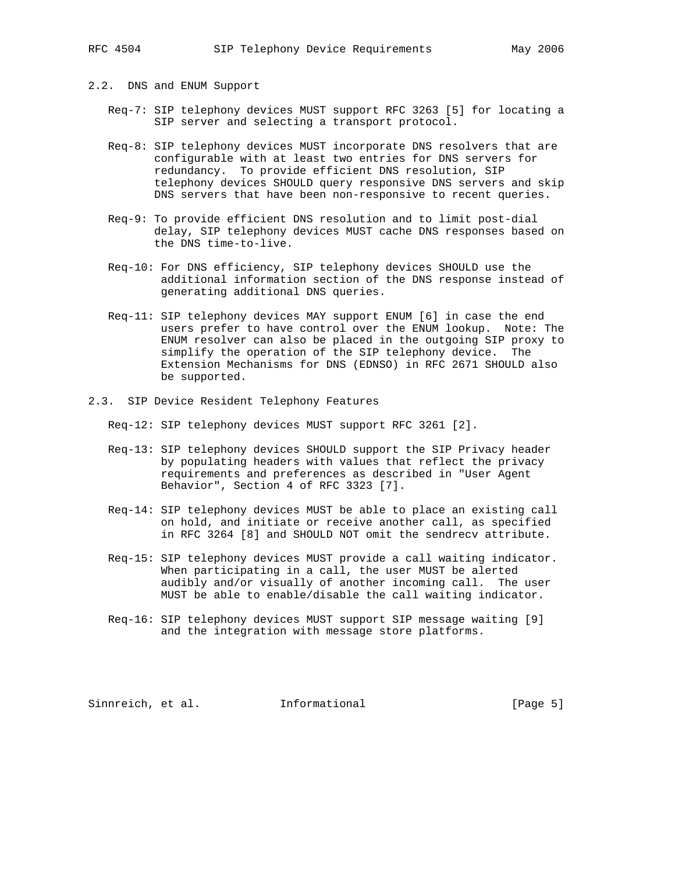- 2.2. DNS and ENUM Support
	- Req-7: SIP telephony devices MUST support RFC 3263 [5] for locating a SIP server and selecting a transport protocol.
	- Req-8: SIP telephony devices MUST incorporate DNS resolvers that are configurable with at least two entries for DNS servers for redundancy. To provide efficient DNS resolution, SIP telephony devices SHOULD query responsive DNS servers and skip DNS servers that have been non-responsive to recent queries.
	- Req-9: To provide efficient DNS resolution and to limit post-dial delay, SIP telephony devices MUST cache DNS responses based on the DNS time-to-live.
	- Req-10: For DNS efficiency, SIP telephony devices SHOULD use the additional information section of the DNS response instead of generating additional DNS queries.
	- Req-11: SIP telephony devices MAY support ENUM [6] in case the end users prefer to have control over the ENUM lookup. Note: The ENUM resolver can also be placed in the outgoing SIP proxy to simplify the operation of the SIP telephony device. The Extension Mechanisms for DNS (EDNSO) in RFC 2671 SHOULD also be supported.
- 2.3. SIP Device Resident Telephony Features

Req-12: SIP telephony devices MUST support RFC 3261 [2].

- Req-13: SIP telephony devices SHOULD support the SIP Privacy header by populating headers with values that reflect the privacy requirements and preferences as described in "User Agent Behavior", Section 4 of RFC 3323 [7].
- Req-14: SIP telephony devices MUST be able to place an existing call on hold, and initiate or receive another call, as specified in RFC 3264 [8] and SHOULD NOT omit the sendrecv attribute.
- Req-15: SIP telephony devices MUST provide a call waiting indicator. When participating in a call, the user MUST be alerted audibly and/or visually of another incoming call. The user MUST be able to enable/disable the call waiting indicator.
- Req-16: SIP telephony devices MUST support SIP message waiting [9] and the integration with message store platforms.

Sinnreich, et al. Informational [Page 5]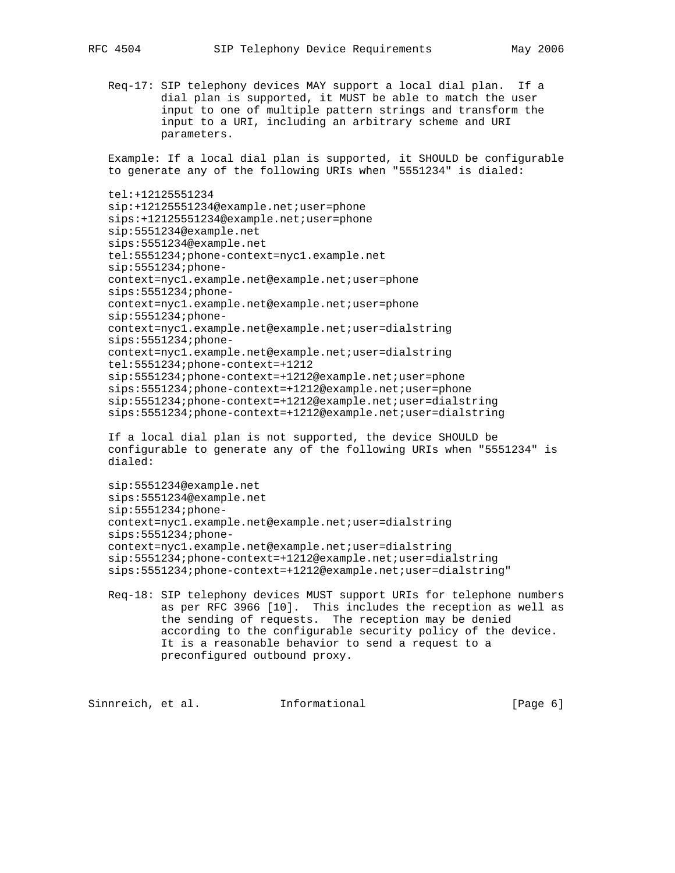Req-17: SIP telephony devices MAY support a local dial plan. If a dial plan is supported, it MUST be able to match the user input to one of multiple pattern strings and transform the input to a URI, including an arbitrary scheme and URI parameters.

 Example: If a local dial plan is supported, it SHOULD be configurable to generate any of the following URIs when "5551234" is dialed:

```
 tel:+12125551234
```
 sip:+12125551234@example.net;user=phone sips:+12125551234@example.net;user=phone sip:5551234@example.net sips:5551234@example.net tel:5551234;phone-context=nyc1.example.net sip:5551234;phone context=nyc1.example.net@example.net;user=phone sips:5551234;phone context=nyc1.example.net@example.net;user=phone sip:5551234;phone context=nyc1.example.net@example.net;user=dialstring sips:5551234;phone context=nyc1.example.net@example.net;user=dialstring tel:5551234;phone-context=+1212 sip:5551234;phone-context=+1212@example.net;user=phone sips:5551234;phone-context=+1212@example.net;user=phone sip:5551234;phone-context=+1212@example.net;user=dialstring sips:5551234;phone-context=+1212@example.net;user=dialstring

 If a local dial plan is not supported, the device SHOULD be configurable to generate any of the following URIs when "5551234" is dialed:

```
 sip:5551234@example.net
 sips:5551234@example.net
 sip:5551234;phone-
 context=nyc1.example.net@example.net;user=dialstring
 sips:5551234;phone-
 context=nyc1.example.net@example.net;user=dialstring
 sip:5551234;phone-context=+1212@example.net;user=dialstring
 sips:5551234;phone-context=+1212@example.net;user=dialstring"
```
 Req-18: SIP telephony devices MUST support URIs for telephone numbers as per RFC 3966 [10]. This includes the reception as well as the sending of requests. The reception may be denied according to the configurable security policy of the device. It is a reasonable behavior to send a request to a preconfigured outbound proxy.

Sinnreich, et al. Informational [Page 6]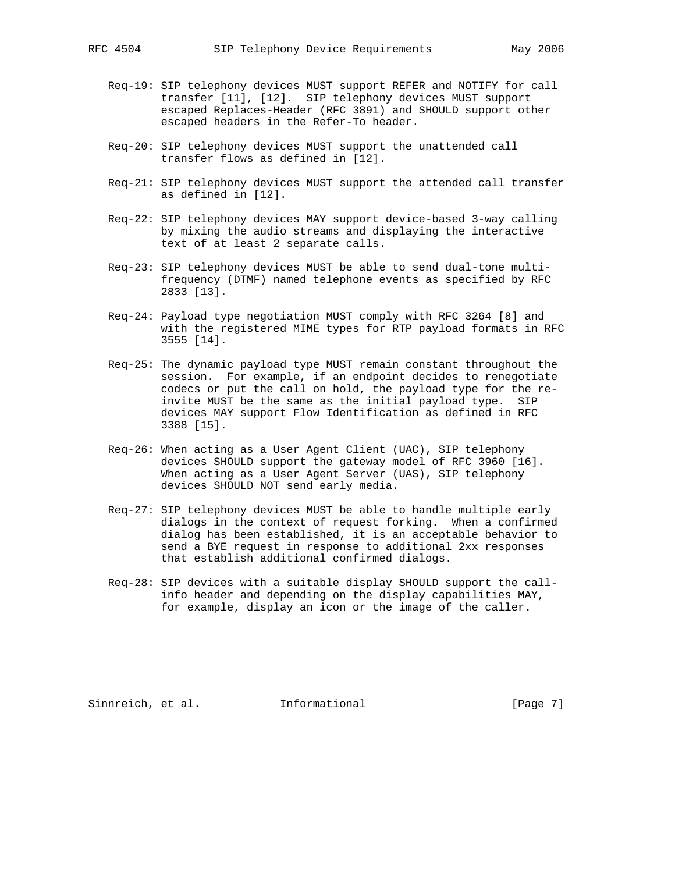- Req-19: SIP telephony devices MUST support REFER and NOTIFY for call transfer [11], [12]. SIP telephony devices MUST support escaped Replaces-Header (RFC 3891) and SHOULD support other escaped headers in the Refer-To header.
- Req-20: SIP telephony devices MUST support the unattended call transfer flows as defined in [12].
- Req-21: SIP telephony devices MUST support the attended call transfer as defined in [12].
- Req-22: SIP telephony devices MAY support device-based 3-way calling by mixing the audio streams and displaying the interactive text of at least 2 separate calls.
- Req-23: SIP telephony devices MUST be able to send dual-tone multi frequency (DTMF) named telephone events as specified by RFC 2833 [13].
- Req-24: Payload type negotiation MUST comply with RFC 3264 [8] and with the registered MIME types for RTP payload formats in RFC 3555 [14].
- Req-25: The dynamic payload type MUST remain constant throughout the session. For example, if an endpoint decides to renegotiate codecs or put the call on hold, the payload type for the re invite MUST be the same as the initial payload type. SIP devices MAY support Flow Identification as defined in RFC 3388 [15].
- Req-26: When acting as a User Agent Client (UAC), SIP telephony devices SHOULD support the gateway model of RFC 3960 [16]. When acting as a User Agent Server (UAS), SIP telephony devices SHOULD NOT send early media.
- Req-27: SIP telephony devices MUST be able to handle multiple early dialogs in the context of request forking. When a confirmed dialog has been established, it is an acceptable behavior to send a BYE request in response to additional 2xx responses that establish additional confirmed dialogs.
- Req-28: SIP devices with a suitable display SHOULD support the call info header and depending on the display capabilities MAY, for example, display an icon or the image of the caller.

Sinnreich, et al. Informational [Page 7]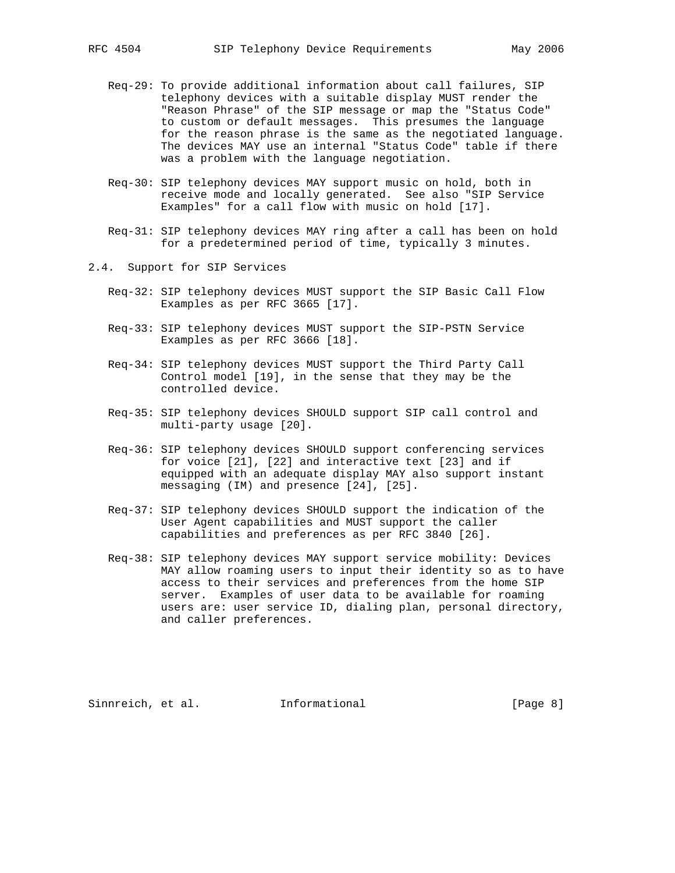- Req-29: To provide additional information about call failures, SIP telephony devices with a suitable display MUST render the "Reason Phrase" of the SIP message or map the "Status Code" to custom or default messages. This presumes the language for the reason phrase is the same as the negotiated language. The devices MAY use an internal "Status Code" table if there was a problem with the language negotiation.
- Req-30: SIP telephony devices MAY support music on hold, both in receive mode and locally generated. See also "SIP Service Examples" for a call flow with music on hold [17].
- Req-31: SIP telephony devices MAY ring after a call has been on hold for a predetermined period of time, typically 3 minutes.
- 2.4. Support for SIP Services
	- Req-32: SIP telephony devices MUST support the SIP Basic Call Flow Examples as per RFC 3665 [17].
	- Req-33: SIP telephony devices MUST support the SIP-PSTN Service Examples as per RFC 3666 [18].
	- Req-34: SIP telephony devices MUST support the Third Party Call Control model [19], in the sense that they may be the controlled device.
	- Req-35: SIP telephony devices SHOULD support SIP call control and multi-party usage [20].
	- Req-36: SIP telephony devices SHOULD support conferencing services for voice [21], [22] and interactive text [23] and if equipped with an adequate display MAY also support instant messaging (IM) and presence [24], [25].
	- Req-37: SIP telephony devices SHOULD support the indication of the User Agent capabilities and MUST support the caller capabilities and preferences as per RFC 3840 [26].
	- Req-38: SIP telephony devices MAY support service mobility: Devices MAY allow roaming users to input their identity so as to have access to their services and preferences from the home SIP server. Examples of user data to be available for roaming users are: user service ID, dialing plan, personal directory, and caller preferences.

Sinnreich, et al. Informational [Page 8]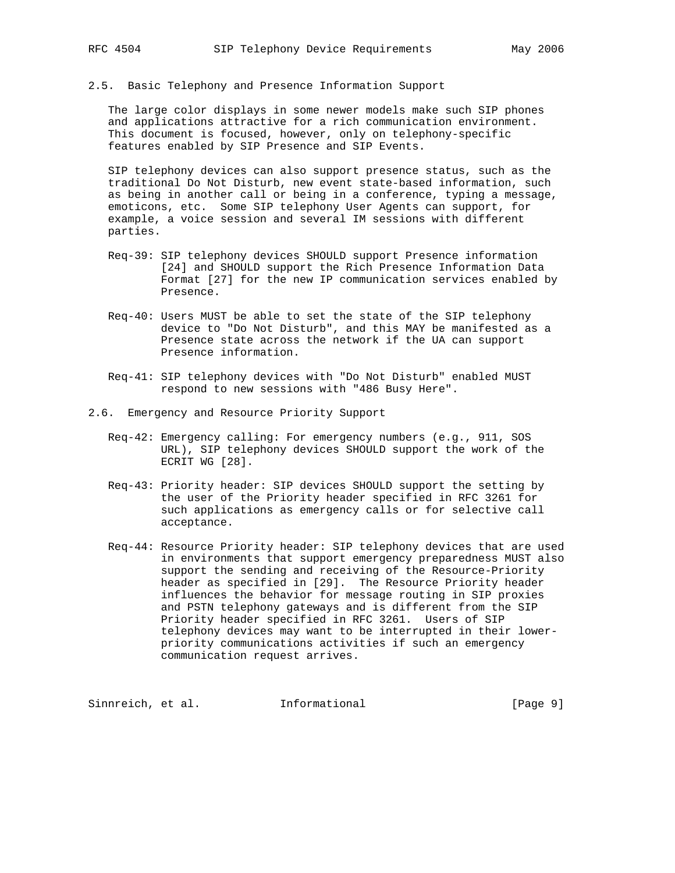2.5. Basic Telephony and Presence Information Support

 The large color displays in some newer models make such SIP phones and applications attractive for a rich communication environment. This document is focused, however, only on telephony-specific features enabled by SIP Presence and SIP Events.

 SIP telephony devices can also support presence status, such as the traditional Do Not Disturb, new event state-based information, such as being in another call or being in a conference, typing a message, emoticons, etc. Some SIP telephony User Agents can support, for example, a voice session and several IM sessions with different parties.

- Req-39: SIP telephony devices SHOULD support Presence information [24] and SHOULD support the Rich Presence Information Data Format [27] for the new IP communication services enabled by Presence.
- Req-40: Users MUST be able to set the state of the SIP telephony device to "Do Not Disturb", and this MAY be manifested as a Presence state across the network if the UA can support Presence information.
- Req-41: SIP telephony devices with "Do Not Disturb" enabled MUST respond to new sessions with "486 Busy Here".
- 2.6. Emergency and Resource Priority Support
	- Req-42: Emergency calling: For emergency numbers (e.g., 911, SOS URL), SIP telephony devices SHOULD support the work of the ECRIT WG [28].
	- Req-43: Priority header: SIP devices SHOULD support the setting by the user of the Priority header specified in RFC 3261 for such applications as emergency calls or for selective call acceptance.
	- Req-44: Resource Priority header: SIP telephony devices that are used in environments that support emergency preparedness MUST also support the sending and receiving of the Resource-Priority header as specified in [29]. The Resource Priority header influences the behavior for message routing in SIP proxies and PSTN telephony gateways and is different from the SIP Priority header specified in RFC 3261. Users of SIP telephony devices may want to be interrupted in their lower priority communications activities if such an emergency communication request arrives.

Sinnreich, et al. 1nformational 1999 [Page 9]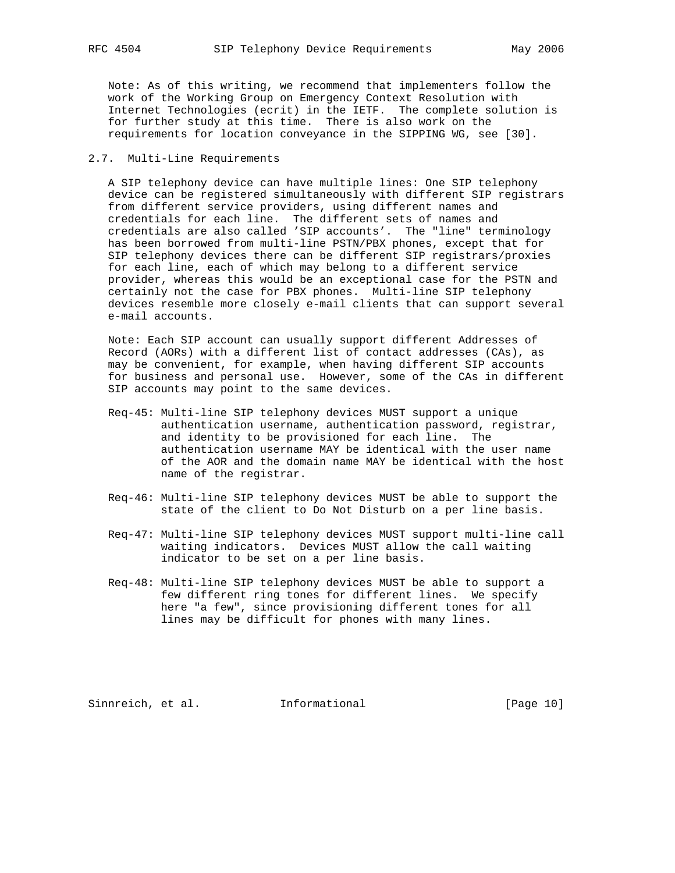Note: As of this writing, we recommend that implementers follow the work of the Working Group on Emergency Context Resolution with Internet Technologies (ecrit) in the IETF. The complete solution is for further study at this time. There is also work on the requirements for location conveyance in the SIPPING WG, see [30].

### 2.7. Multi-Line Requirements

 A SIP telephony device can have multiple lines: One SIP telephony device can be registered simultaneously with different SIP registrars from different service providers, using different names and credentials for each line. The different sets of names and credentials are also called 'SIP accounts'. The "line" terminology has been borrowed from multi-line PSTN/PBX phones, except that for SIP telephony devices there can be different SIP registrars/proxies for each line, each of which may belong to a different service provider, whereas this would be an exceptional case for the PSTN and certainly not the case for PBX phones. Multi-line SIP telephony devices resemble more closely e-mail clients that can support several e-mail accounts.

 Note: Each SIP account can usually support different Addresses of Record (AORs) with a different list of contact addresses (CAs), as may be convenient, for example, when having different SIP accounts for business and personal use. However, some of the CAs in different SIP accounts may point to the same devices.

- Req-45: Multi-line SIP telephony devices MUST support a unique authentication username, authentication password, registrar, and identity to be provisioned for each line. The authentication username MAY be identical with the user name of the AOR and the domain name MAY be identical with the host name of the registrar.
- Req-46: Multi-line SIP telephony devices MUST be able to support the state of the client to Do Not Disturb on a per line basis.
- Req-47: Multi-line SIP telephony devices MUST support multi-line call waiting indicators. Devices MUST allow the call waiting indicator to be set on a per line basis.
- Req-48: Multi-line SIP telephony devices MUST be able to support a few different ring tones for different lines. We specify here "a few", since provisioning different tones for all lines may be difficult for phones with many lines.

Sinnreich, et al. Informational [Page 10]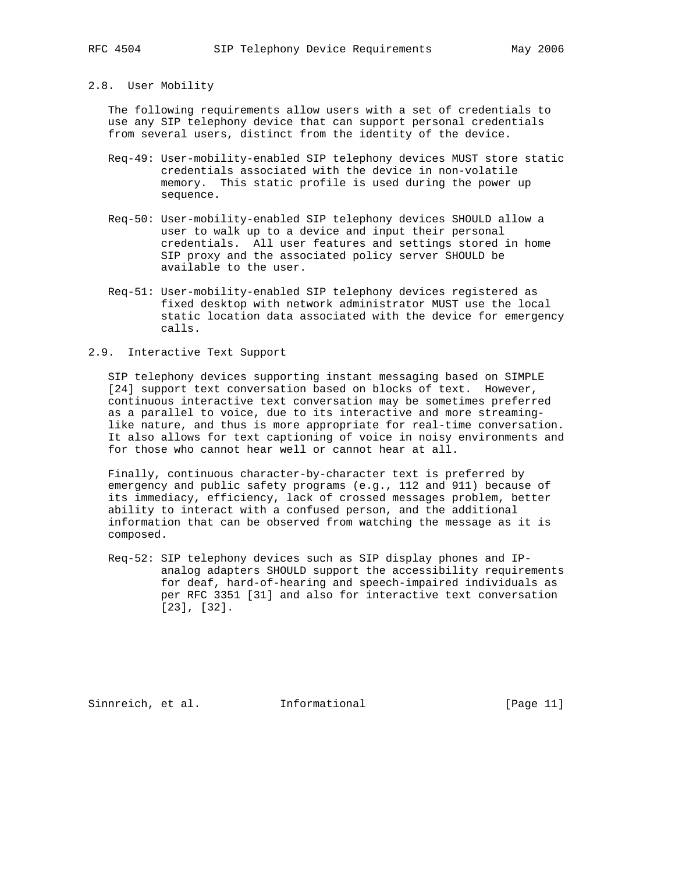## 2.8. User Mobility

 The following requirements allow users with a set of credentials to use any SIP telephony device that can support personal credentials from several users, distinct from the identity of the device.

- Req-49: User-mobility-enabled SIP telephony devices MUST store static credentials associated with the device in non-volatile memory. This static profile is used during the power up sequence.
- Req-50: User-mobility-enabled SIP telephony devices SHOULD allow a user to walk up to a device and input their personal credentials. All user features and settings stored in home SIP proxy and the associated policy server SHOULD be available to the user.
- Req-51: User-mobility-enabled SIP telephony devices registered as fixed desktop with network administrator MUST use the local static location data associated with the device for emergency calls.

### 2.9. Interactive Text Support

 SIP telephony devices supporting instant messaging based on SIMPLE [24] support text conversation based on blocks of text. However, continuous interactive text conversation may be sometimes preferred as a parallel to voice, due to its interactive and more streaming like nature, and thus is more appropriate for real-time conversation. It also allows for text captioning of voice in noisy environments and for those who cannot hear well or cannot hear at all.

 Finally, continuous character-by-character text is preferred by emergency and public safety programs (e.g., 112 and 911) because of its immediacy, efficiency, lack of crossed messages problem, better ability to interact with a confused person, and the additional information that can be observed from watching the message as it is composed.

 Req-52: SIP telephony devices such as SIP display phones and IP analog adapters SHOULD support the accessibility requirements for deaf, hard-of-hearing and speech-impaired individuals as per RFC 3351 [31] and also for interactive text conversation [23], [32].

Sinnreich, et al. Informational [Page 11]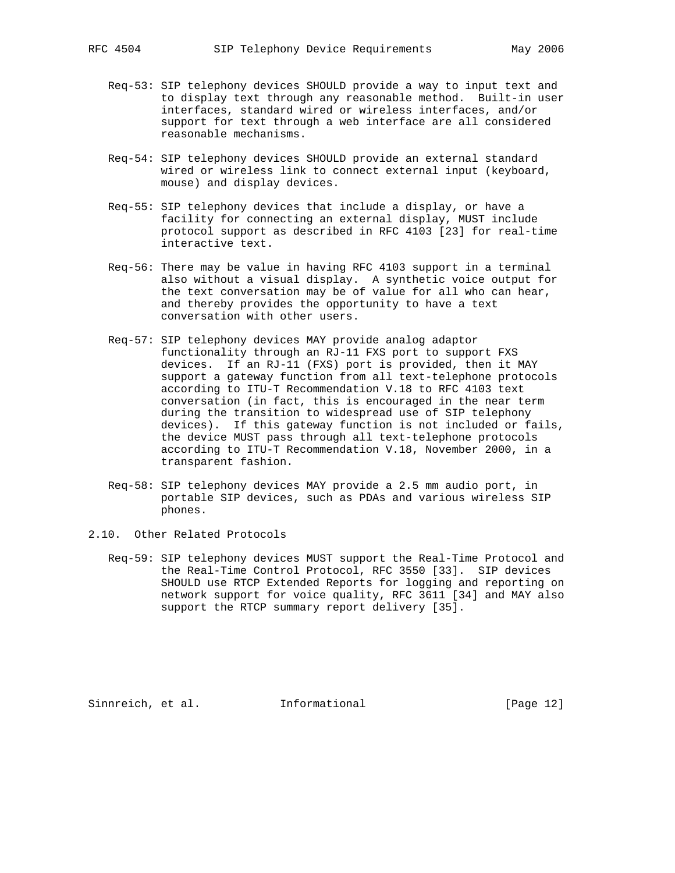- Req-53: SIP telephony devices SHOULD provide a way to input text and to display text through any reasonable method. Built-in user interfaces, standard wired or wireless interfaces, and/or support for text through a web interface are all considered reasonable mechanisms.
- Req-54: SIP telephony devices SHOULD provide an external standard wired or wireless link to connect external input (keyboard, mouse) and display devices.
- Req-55: SIP telephony devices that include a display, or have a facility for connecting an external display, MUST include protocol support as described in RFC 4103 [23] for real-time interactive text.
- Req-56: There may be value in having RFC 4103 support in a terminal also without a visual display. A synthetic voice output for the text conversation may be of value for all who can hear, and thereby provides the opportunity to have a text conversation with other users.
- Req-57: SIP telephony devices MAY provide analog adaptor functionality through an RJ-11 FXS port to support FXS devices. If an RJ-11 (FXS) port is provided, then it MAY support a gateway function from all text-telephone protocols according to ITU-T Recommendation V.18 to RFC 4103 text conversation (in fact, this is encouraged in the near term during the transition to widespread use of SIP telephony devices). If this gateway function is not included or fails, the device MUST pass through all text-telephone protocols according to ITU-T Recommendation V.18, November 2000, in a transparent fashion.
- Req-58: SIP telephony devices MAY provide a 2.5 mm audio port, in portable SIP devices, such as PDAs and various wireless SIP phones.
- 2.10. Other Related Protocols
	- Req-59: SIP telephony devices MUST support the Real-Time Protocol and the Real-Time Control Protocol, RFC 3550 [33]. SIP devices SHOULD use RTCP Extended Reports for logging and reporting on network support for voice quality, RFC 3611 [34] and MAY also support the RTCP summary report delivery [35].

Sinnreich, et al. Informational [Page 12]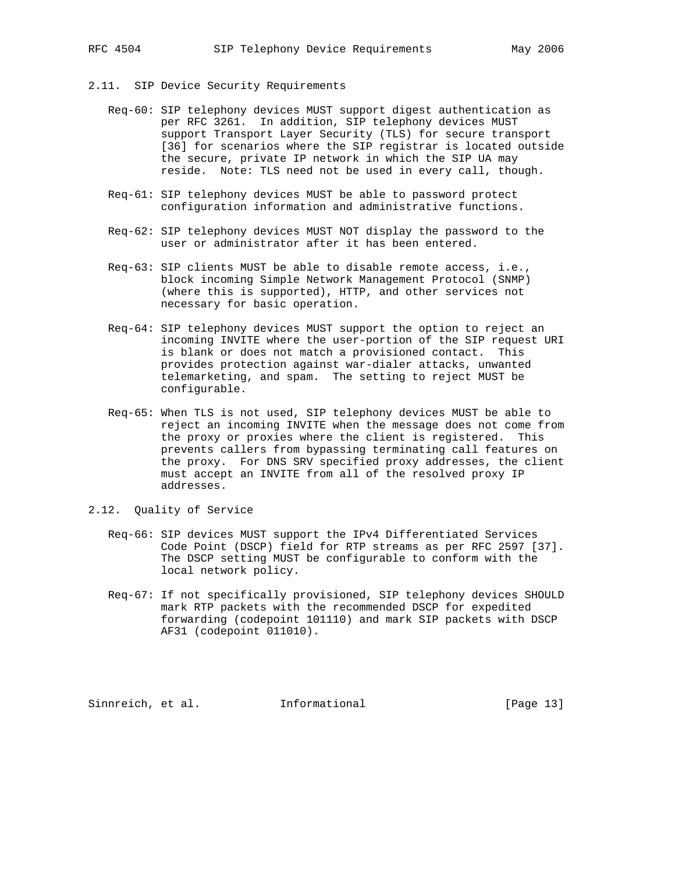- 2.11. SIP Device Security Requirements
	- Req-60: SIP telephony devices MUST support digest authentication as per RFC 3261. In addition, SIP telephony devices MUST support Transport Layer Security (TLS) for secure transport [36] for scenarios where the SIP registrar is located outside the secure, private IP network in which the SIP UA may reside. Note: TLS need not be used in every call, though.
	- Req-61: SIP telephony devices MUST be able to password protect configuration information and administrative functions.
	- Req-62: SIP telephony devices MUST NOT display the password to the user or administrator after it has been entered.
	- Req-63: SIP clients MUST be able to disable remote access, i.e., block incoming Simple Network Management Protocol (SNMP) (where this is supported), HTTP, and other services not necessary for basic operation.
	- Req-64: SIP telephony devices MUST support the option to reject an incoming INVITE where the user-portion of the SIP request URI is blank or does not match a provisioned contact. This provides protection against war-dialer attacks, unwanted telemarketing, and spam. The setting to reject MUST be configurable.
	- Req-65: When TLS is not used, SIP telephony devices MUST be able to reject an incoming INVITE when the message does not come from the proxy or proxies where the client is registered. This prevents callers from bypassing terminating call features on the proxy. For DNS SRV specified proxy addresses, the client must accept an INVITE from all of the resolved proxy IP addresses.
- 2.12. Quality of Service
	- Req-66: SIP devices MUST support the IPv4 Differentiated Services Code Point (DSCP) field for RTP streams as per RFC 2597 [37]. The DSCP setting MUST be configurable to conform with the local network policy.
	- Req-67: If not specifically provisioned, SIP telephony devices SHOULD mark RTP packets with the recommended DSCP for expedited forwarding (codepoint 101110) and mark SIP packets with DSCP AF31 (codepoint 011010).

Sinnreich, et al. Informational [Page 13]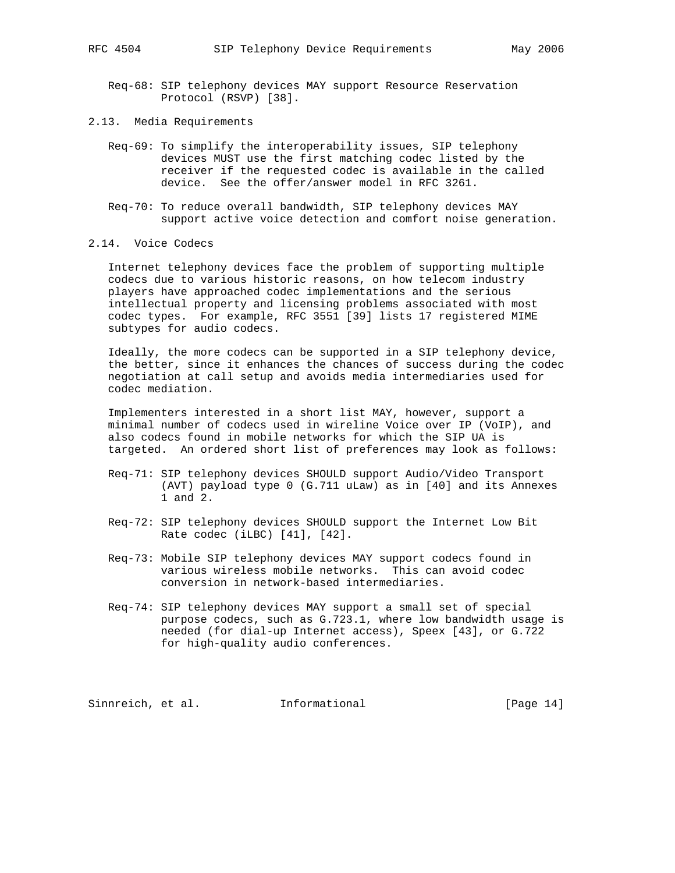- Req-68: SIP telephony devices MAY support Resource Reservation Protocol (RSVP) [38].
- 2.13. Media Requirements
	- Req-69: To simplify the interoperability issues, SIP telephony devices MUST use the first matching codec listed by the receiver if the requested codec is available in the called device. See the offer/answer model in RFC 3261.
	- Req-70: To reduce overall bandwidth, SIP telephony devices MAY support active voice detection and comfort noise generation.
- 2.14. Voice Codecs

 Internet telephony devices face the problem of supporting multiple codecs due to various historic reasons, on how telecom industry players have approached codec implementations and the serious intellectual property and licensing problems associated with most codec types. For example, RFC 3551 [39] lists 17 registered MIME subtypes for audio codecs.

 Ideally, the more codecs can be supported in a SIP telephony device, the better, since it enhances the chances of success during the codec negotiation at call setup and avoids media intermediaries used for codec mediation.

 Implementers interested in a short list MAY, however, support a minimal number of codecs used in wireline Voice over IP (VoIP), and also codecs found in mobile networks for which the SIP UA is targeted. An ordered short list of preferences may look as follows:

- Req-71: SIP telephony devices SHOULD support Audio/Video Transport (AVT) payload type 0 (G.711 uLaw) as in [40] and its Annexes 1 and 2.
- Req-72: SIP telephony devices SHOULD support the Internet Low Bit Rate codec (iLBC) [41], [42].
- Req-73: Mobile SIP telephony devices MAY support codecs found in various wireless mobile networks. This can avoid codec conversion in network-based intermediaries.
- Req-74: SIP telephony devices MAY support a small set of special purpose codecs, such as G.723.1, where low bandwidth usage is needed (for dial-up Internet access), Speex [43], or G.722 for high-quality audio conferences.

Sinnreich, et al. 1nformational [Page 14]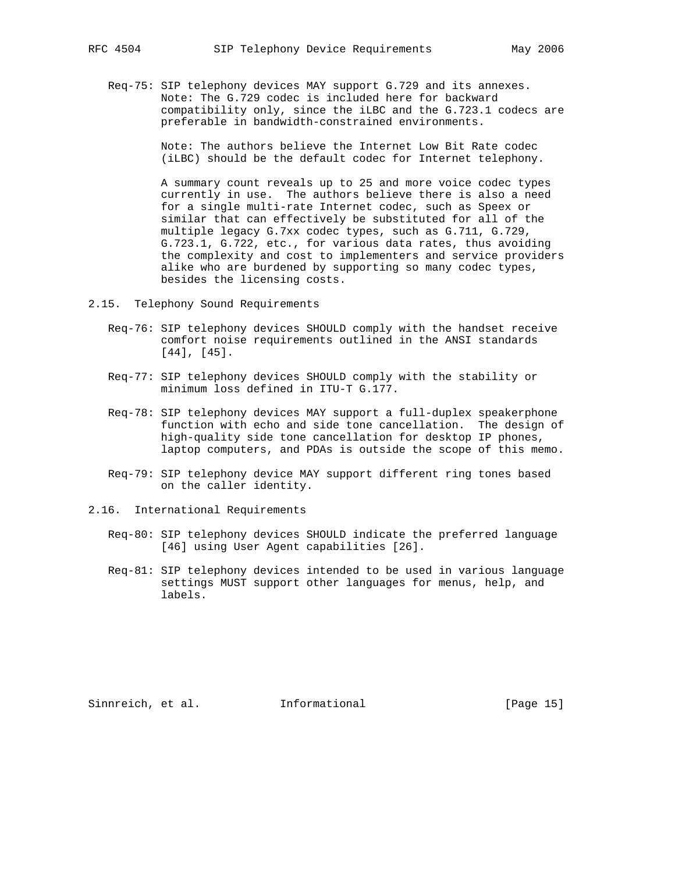Req-75: SIP telephony devices MAY support G.729 and its annexes. Note: The G.729 codec is included here for backward compatibility only, since the iLBC and the G.723.1 codecs are preferable in bandwidth-constrained environments.

> Note: The authors believe the Internet Low Bit Rate codec (iLBC) should be the default codec for Internet telephony.

 A summary count reveals up to 25 and more voice codec types currently in use. The authors believe there is also a need for a single multi-rate Internet codec, such as Speex or similar that can effectively be substituted for all of the multiple legacy G.7xx codec types, such as G.711, G.729, G.723.1, G.722, etc., for various data rates, thus avoiding the complexity and cost to implementers and service providers alike who are burdened by supporting so many codec types, besides the licensing costs.

- 2.15. Telephony Sound Requirements
	- Req-76: SIP telephony devices SHOULD comply with the handset receive comfort noise requirements outlined in the ANSI standards [44], [45].
	- Req-77: SIP telephony devices SHOULD comply with the stability or minimum loss defined in ITU-T G.177.
	- Req-78: SIP telephony devices MAY support a full-duplex speakerphone function with echo and side tone cancellation. The design of high-quality side tone cancellation for desktop IP phones, laptop computers, and PDAs is outside the scope of this memo.
	- Req-79: SIP telephony device MAY support different ring tones based on the caller identity.
- 2.16. International Requirements
	- Req-80: SIP telephony devices SHOULD indicate the preferred language [46] using User Agent capabilities [26].
	- Req-81: SIP telephony devices intended to be used in various language settings MUST support other languages for menus, help, and labels.

Sinnreich, et al. Informational [Page 15]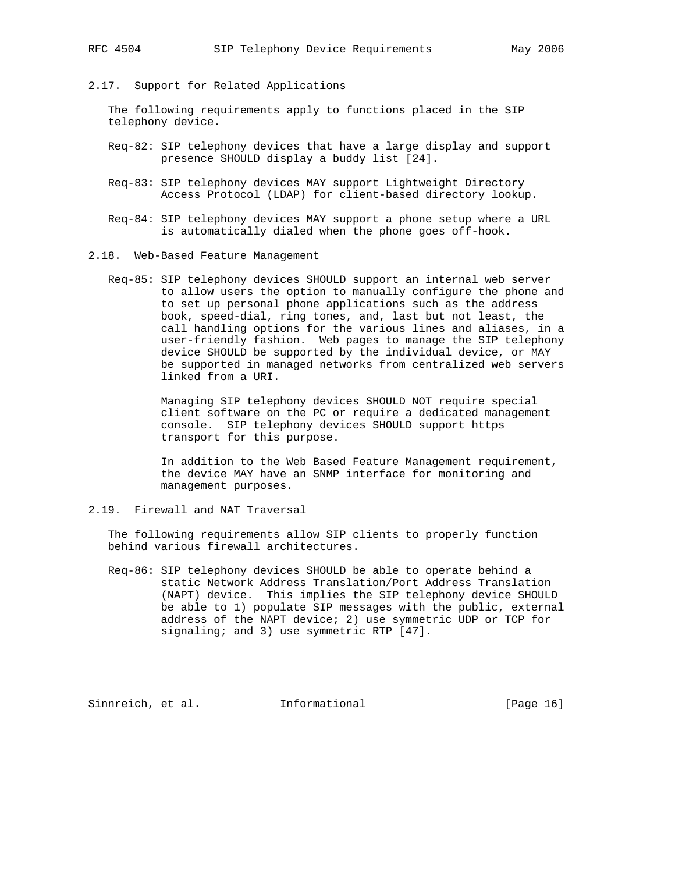2.17. Support for Related Applications

 The following requirements apply to functions placed in the SIP telephony device.

- Req-82: SIP telephony devices that have a large display and support presence SHOULD display a buddy list [24].
- Req-83: SIP telephony devices MAY support Lightweight Directory Access Protocol (LDAP) for client-based directory lookup.
- Req-84: SIP telephony devices MAY support a phone setup where a URL is automatically dialed when the phone goes off-hook.
- 2.18. Web-Based Feature Management
	- Req-85: SIP telephony devices SHOULD support an internal web server to allow users the option to manually configure the phone and to set up personal phone applications such as the address book, speed-dial, ring tones, and, last but not least, the call handling options for the various lines and aliases, in a user-friendly fashion. Web pages to manage the SIP telephony device SHOULD be supported by the individual device, or MAY be supported in managed networks from centralized web servers linked from a URI.

 Managing SIP telephony devices SHOULD NOT require special client software on the PC or require a dedicated management console. SIP telephony devices SHOULD support https transport for this purpose.

 In addition to the Web Based Feature Management requirement, the device MAY have an SNMP interface for monitoring and management purposes.

2.19. Firewall and NAT Traversal

 The following requirements allow SIP clients to properly function behind various firewall architectures.

 Req-86: SIP telephony devices SHOULD be able to operate behind a static Network Address Translation/Port Address Translation (NAPT) device. This implies the SIP telephony device SHOULD be able to 1) populate SIP messages with the public, external address of the NAPT device; 2) use symmetric UDP or TCP for signaling; and 3) use symmetric RTP [47].

Sinnreich, et al. Informational [Page 16]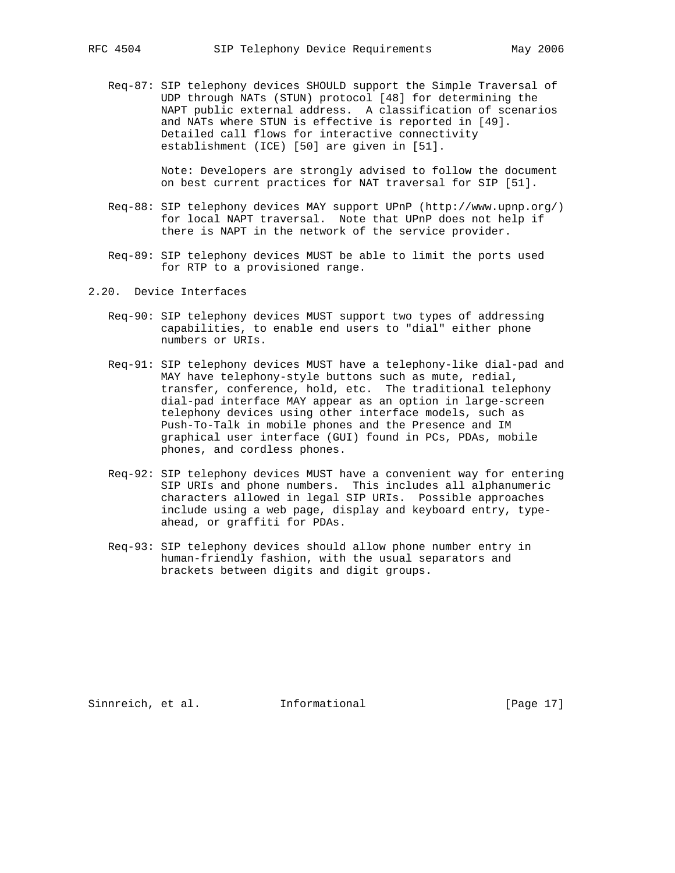Req-87: SIP telephony devices SHOULD support the Simple Traversal of UDP through NATs (STUN) protocol [48] for determining the NAPT public external address. A classification of scenarios and NATs where STUN is effective is reported in [49]. Detailed call flows for interactive connectivity establishment (ICE) [50] are given in [51].

> Note: Developers are strongly advised to follow the document on best current practices for NAT traversal for SIP [51].

- Req-88: SIP telephony devices MAY support UPnP (http://www.upnp.org/) for local NAPT traversal. Note that UPnP does not help if there is NAPT in the network of the service provider.
- Req-89: SIP telephony devices MUST be able to limit the ports used for RTP to a provisioned range.
- 2.20. Device Interfaces
	- Req-90: SIP telephony devices MUST support two types of addressing capabilities, to enable end users to "dial" either phone numbers or URIs.
- Req-91: SIP telephony devices MUST have a telephony-like dial-pad and MAY have telephony-style buttons such as mute, redial, transfer, conference, hold, etc. The traditional telephony dial-pad interface MAY appear as an option in large-screen telephony devices using other interface models, such as Push-To-Talk in mobile phones and the Presence and IM graphical user interface (GUI) found in PCs, PDAs, mobile phones, and cordless phones.
	- Req-92: SIP telephony devices MUST have a convenient way for entering SIP URIs and phone numbers. This includes all alphanumeric characters allowed in legal SIP URIs. Possible approaches include using a web page, display and keyboard entry, type ahead, or graffiti for PDAs.
	- Req-93: SIP telephony devices should allow phone number entry in human-friendly fashion, with the usual separators and brackets between digits and digit groups.

Sinnreich, et al. Informational [Page 17]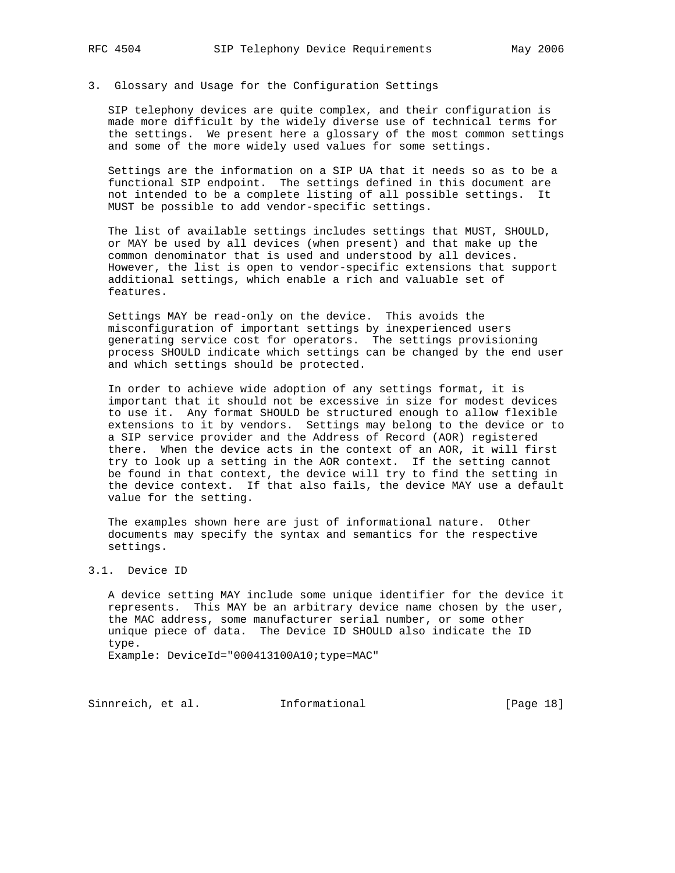## 3. Glossary and Usage for the Configuration Settings

 SIP telephony devices are quite complex, and their configuration is made more difficult by the widely diverse use of technical terms for the settings. We present here a glossary of the most common settings and some of the more widely used values for some settings.

 Settings are the information on a SIP UA that it needs so as to be a functional SIP endpoint. The settings defined in this document are not intended to be a complete listing of all possible settings. It MUST be possible to add vendor-specific settings.

 The list of available settings includes settings that MUST, SHOULD, or MAY be used by all devices (when present) and that make up the common denominator that is used and understood by all devices. However, the list is open to vendor-specific extensions that support additional settings, which enable a rich and valuable set of features.

 Settings MAY be read-only on the device. This avoids the misconfiguration of important settings by inexperienced users generating service cost for operators. The settings provisioning process SHOULD indicate which settings can be changed by the end user and which settings should be protected.

 In order to achieve wide adoption of any settings format, it is important that it should not be excessive in size for modest devices to use it. Any format SHOULD be structured enough to allow flexible extensions to it by vendors. Settings may belong to the device or to a SIP service provider and the Address of Record (AOR) registered there. When the device acts in the context of an AOR, it will first try to look up a setting in the AOR context. If the setting cannot be found in that context, the device will try to find the setting in the device context. If that also fails, the device MAY use a default value for the setting.

 The examples shown here are just of informational nature. Other documents may specify the syntax and semantics for the respective settings.

### 3.1. Device ID

 A device setting MAY include some unique identifier for the device it represents. This MAY be an arbitrary device name chosen by the user, the MAC address, some manufacturer serial number, or some other unique piece of data. The Device ID SHOULD also indicate the ID type.

Example: DeviceId="000413100A10;type=MAC"

Sinnreich, et al. 1nformational [Page 18]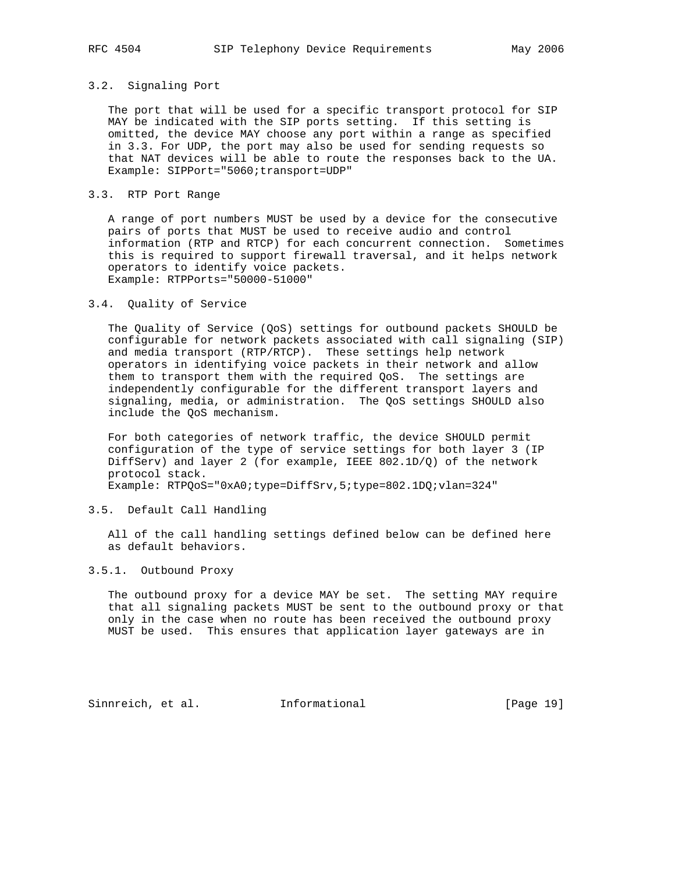## 3.2. Signaling Port

 The port that will be used for a specific transport protocol for SIP MAY be indicated with the SIP ports setting. If this setting is omitted, the device MAY choose any port within a range as specified in 3.3. For UDP, the port may also be used for sending requests so that NAT devices will be able to route the responses back to the UA. Example: SIPPort="5060;transport=UDP"

### 3.3. RTP Port Range

 A range of port numbers MUST be used by a device for the consecutive pairs of ports that MUST be used to receive audio and control information (RTP and RTCP) for each concurrent connection. Sometimes this is required to support firewall traversal, and it helps network operators to identify voice packets. Example: RTPPorts="50000-51000"

### 3.4. Quality of Service

 The Quality of Service (QoS) settings for outbound packets SHOULD be configurable for network packets associated with call signaling (SIP) and media transport (RTP/RTCP). These settings help network operators in identifying voice packets in their network and allow them to transport them with the required QoS. The settings are independently configurable for the different transport layers and signaling, media, or administration. The QoS settings SHOULD also include the QoS mechanism.

 For both categories of network traffic, the device SHOULD permit configuration of the type of service settings for both layer 3 (IP DiffServ) and layer 2 (for example, IEEE  $802.1D/Q$ ) of the network protocol stack.

Example: RTPQoS="0xA0;type=DiffSrv,5;type=802.1DQ;vlan=324"

## 3.5. Default Call Handling

 All of the call handling settings defined below can be defined here as default behaviors.

### 3.5.1. Outbound Proxy

 The outbound proxy for a device MAY be set. The setting MAY require that all signaling packets MUST be sent to the outbound proxy or that only in the case when no route has been received the outbound proxy MUST be used. This ensures that application layer gateways are in

Sinnreich, et al. Informational [Page 19]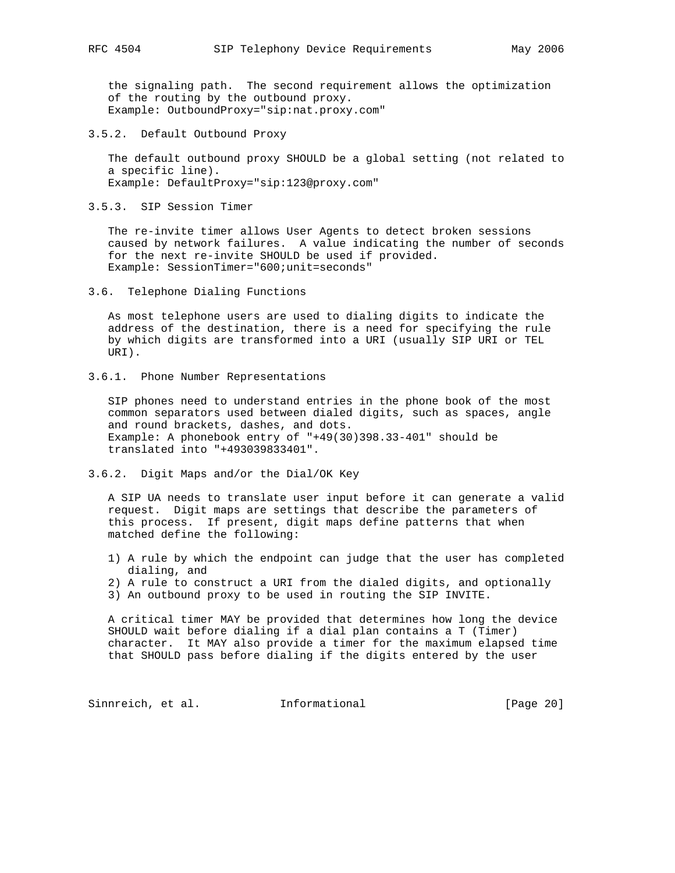the signaling path. The second requirement allows the optimization of the routing by the outbound proxy. Example: OutboundProxy="sip:nat.proxy.com"

3.5.2. Default Outbound Proxy

 The default outbound proxy SHOULD be a global setting (not related to a specific line). Example: DefaultProxy="sip:123@proxy.com"

3.5.3. SIP Session Timer

 The re-invite timer allows User Agents to detect broken sessions caused by network failures. A value indicating the number of seconds for the next re-invite SHOULD be used if provided. Example: SessionTimer="600;unit=seconds"

3.6. Telephone Dialing Functions

 As most telephone users are used to dialing digits to indicate the address of the destination, there is a need for specifying the rule by which digits are transformed into a URI (usually SIP URI or TEL URI).

3.6.1. Phone Number Representations

 SIP phones need to understand entries in the phone book of the most common separators used between dialed digits, such as spaces, angle and round brackets, dashes, and dots. Example: A phonebook entry of "+49(30)398.33-401" should be translated into "+493039833401".

3.6.2. Digit Maps and/or the Dial/OK Key

 A SIP UA needs to translate user input before it can generate a valid request. Digit maps are settings that describe the parameters of this process. If present, digit maps define patterns that when matched define the following:

- 1) A rule by which the endpoint can judge that the user has completed dialing, and
- 2) A rule to construct a URI from the dialed digits, and optionally
- 3) An outbound proxy to be used in routing the SIP INVITE.

 A critical timer MAY be provided that determines how long the device SHOULD wait before dialing if a dial plan contains a T (Timer) character. It MAY also provide a timer for the maximum elapsed time that SHOULD pass before dialing if the digits entered by the user

Sinnreich, et al. 1nformational [Page 20]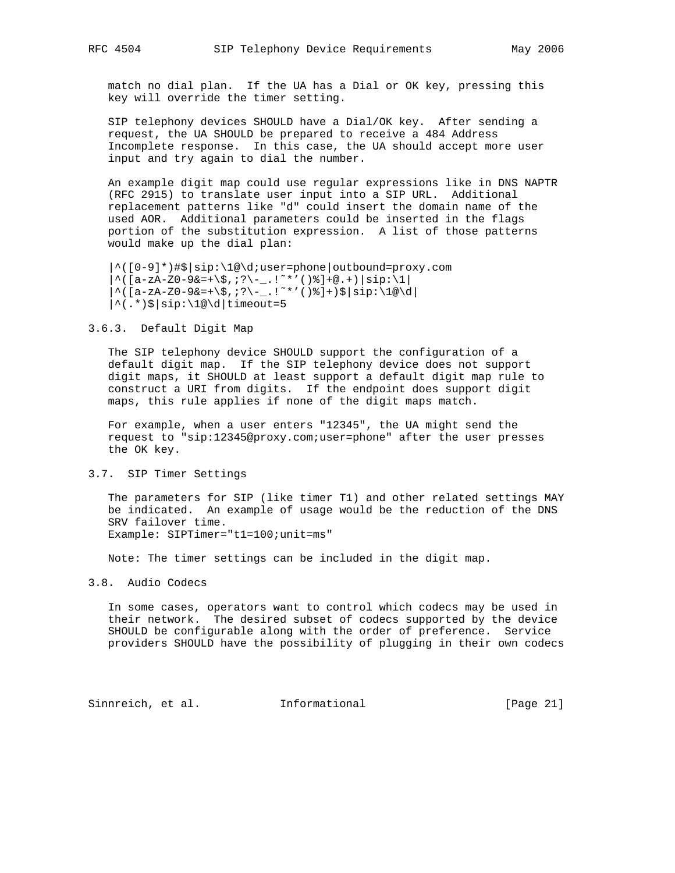match no dial plan. If the UA has a Dial or OK key, pressing this key will override the timer setting.

 SIP telephony devices SHOULD have a Dial/OK key. After sending a request, the UA SHOULD be prepared to receive a 484 Address Incomplete response. In this case, the UA should accept more user input and try again to dial the number.

 An example digit map could use regular expressions like in DNS NAPTR (RFC 2915) to translate user input into a SIP URL. Additional replacement patterns like "d" could insert the domain name of the used AOR. Additional parameters could be inserted in the flags portion of the substitution expression. A list of those patterns would make up the dial plan:

```
 |^([0-9]*)#$|sip:\1@\d;user=phone|outbound=proxy.com
*([a-zA-Z0-9&=+\S,'?\\-.!~*'()%]+@.+)|sip:\1|
\hat{\zeta}([a-zA-Z0-9&=+\$,;?\-_.!~*'()%]+)$|sip:\1@\d|
|\hat{\cdot}|.*)$|sip:\1@\d|timeout=5
```
#### 3.6.3. Default Digit Map

 The SIP telephony device SHOULD support the configuration of a default digit map. If the SIP telephony device does not support digit maps, it SHOULD at least support a default digit map rule to construct a URI from digits. If the endpoint does support digit maps, this rule applies if none of the digit maps match.

 For example, when a user enters "12345", the UA might send the request to "sip:12345@proxy.com;user=phone" after the user presses the OK key.

#### 3.7. SIP Timer Settings

 The parameters for SIP (like timer T1) and other related settings MAY be indicated. An example of usage would be the reduction of the DNS SRV failover time. Example: SIPTimer="t1=100;unit=ms"

Note: The timer settings can be included in the digit map.

### 3.8. Audio Codecs

 In some cases, operators want to control which codecs may be used in their network. The desired subset of codecs supported by the device SHOULD be configurable along with the order of preference. Service providers SHOULD have the possibility of plugging in their own codecs

Sinnreich, et al. Informational [Page 21]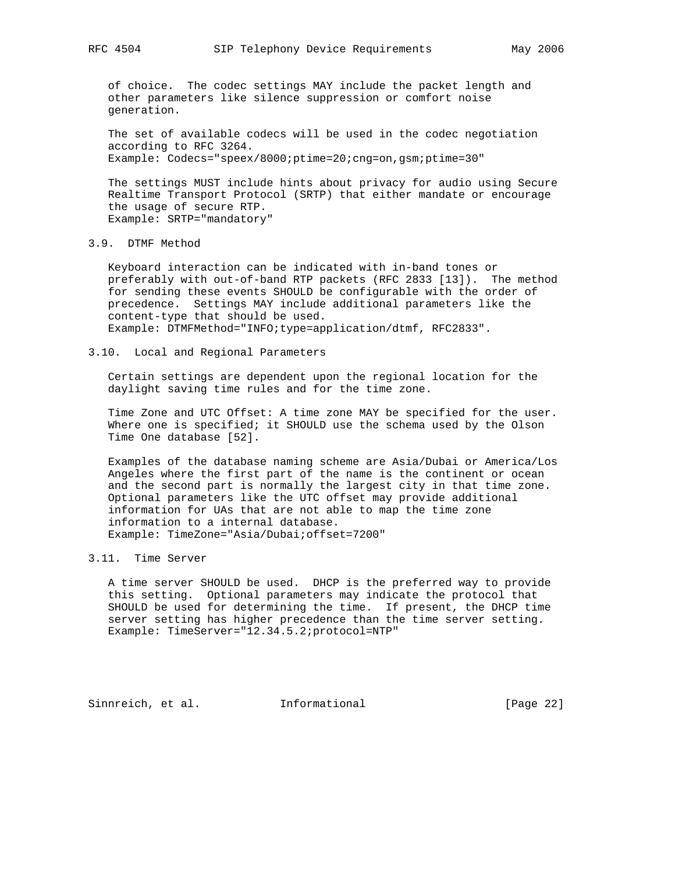of choice. The codec settings MAY include the packet length and other parameters like silence suppression or comfort noise generation.

 The set of available codecs will be used in the codec negotiation according to RFC 3264. Example: Codecs="speex/8000;ptime=20;cng=on,gsm;ptime=30"

 The settings MUST include hints about privacy for audio using Secure Realtime Transport Protocol (SRTP) that either mandate or encourage the usage of secure RTP. Example: SRTP="mandatory"

## 3.9. DTMF Method

 Keyboard interaction can be indicated with in-band tones or preferably with out-of-band RTP packets (RFC 2833 [13]). The method for sending these events SHOULD be configurable with the order of precedence. Settings MAY include additional parameters like the content-type that should be used. Example: DTMFMethod="INFO;type=application/dtmf, RFC2833".

#### 3.10. Local and Regional Parameters

 Certain settings are dependent upon the regional location for the daylight saving time rules and for the time zone.

 Time Zone and UTC Offset: A time zone MAY be specified for the user. Where one is specified; it SHOULD use the schema used by the Olson Time One database [52].

 Examples of the database naming scheme are Asia/Dubai or America/Los Angeles where the first part of the name is the continent or ocean and the second part is normally the largest city in that time zone. Optional parameters like the UTC offset may provide additional information for UAs that are not able to map the time zone information to a internal database. Example: TimeZone="Asia/Dubai;offset=7200"

### 3.11. Time Server

 A time server SHOULD be used. DHCP is the preferred way to provide this setting. Optional parameters may indicate the protocol that SHOULD be used for determining the time. If present, the DHCP time server setting has higher precedence than the time server setting. Example: TimeServer="12.34.5.2;protocol=NTP"

Sinnreich, et al. Informational [Page 22]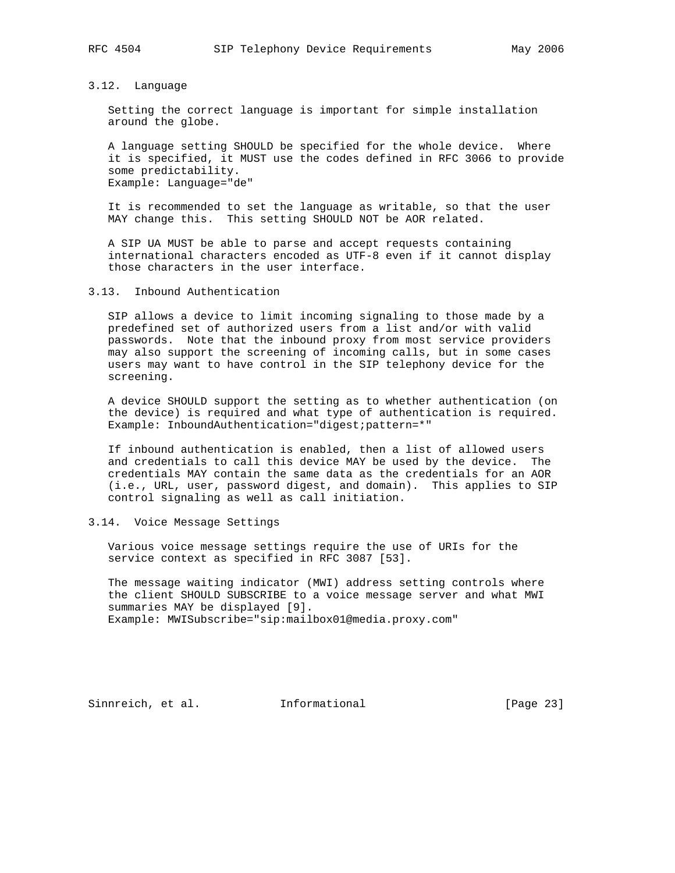3.12. Language

 Setting the correct language is important for simple installation around the globe.

 A language setting SHOULD be specified for the whole device. Where it is specified, it MUST use the codes defined in RFC 3066 to provide some predictability. Example: Language="de"

 It is recommended to set the language as writable, so that the user MAY change this. This setting SHOULD NOT be AOR related.

 A SIP UA MUST be able to parse and accept requests containing international characters encoded as UTF-8 even if it cannot display those characters in the user interface.

3.13. Inbound Authentication

 SIP allows a device to limit incoming signaling to those made by a predefined set of authorized users from a list and/or with valid passwords. Note that the inbound proxy from most service providers may also support the screening of incoming calls, but in some cases users may want to have control in the SIP telephony device for the screening.

 A device SHOULD support the setting as to whether authentication (on the device) is required and what type of authentication is required. Example: InboundAuthentication="digest;pattern=\*"

 If inbound authentication is enabled, then a list of allowed users and credentials to call this device MAY be used by the device. The credentials MAY contain the same data as the credentials for an AOR (i.e., URL, user, password digest, and domain). This applies to SIP control signaling as well as call initiation.

3.14. Voice Message Settings

 Various voice message settings require the use of URIs for the service context as specified in RFC 3087 [53].

 The message waiting indicator (MWI) address setting controls where the client SHOULD SUBSCRIBE to a voice message server and what MWI summaries MAY be displayed [9]. Example: MWISubscribe="sip:mailbox01@media.proxy.com"

Sinnreich, et al. Informational [Page 23]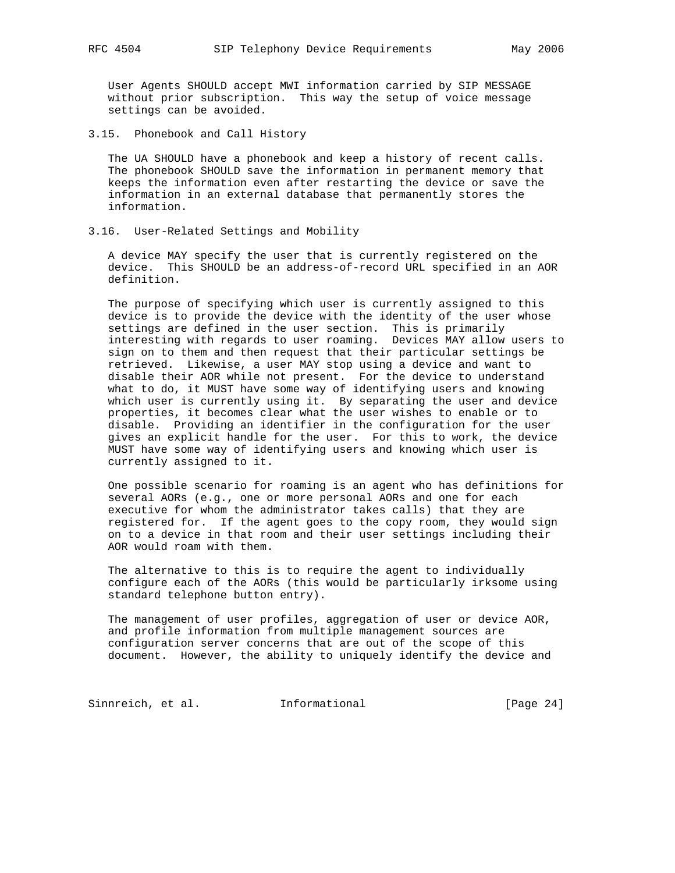User Agents SHOULD accept MWI information carried by SIP MESSAGE without prior subscription. This way the setup of voice message settings can be avoided.

3.15. Phonebook and Call History

 The UA SHOULD have a phonebook and keep a history of recent calls. The phonebook SHOULD save the information in permanent memory that keeps the information even after restarting the device or save the information in an external database that permanently stores the information.

3.16. User-Related Settings and Mobility

 A device MAY specify the user that is currently registered on the device. This SHOULD be an address-of-record URL specified in an AOR definition.

 The purpose of specifying which user is currently assigned to this device is to provide the device with the identity of the user whose settings are defined in the user section. This is primarily interesting with regards to user roaming. Devices MAY allow users to sign on to them and then request that their particular settings be retrieved. Likewise, a user MAY stop using a device and want to disable their AOR while not present. For the device to understand what to do, it MUST have some way of identifying users and knowing which user is currently using it. By separating the user and device properties, it becomes clear what the user wishes to enable or to disable. Providing an identifier in the configuration for the user gives an explicit handle for the user. For this to work, the device MUST have some way of identifying users and knowing which user is currently assigned to it.

 One possible scenario for roaming is an agent who has definitions for several AORs (e.g., one or more personal AORs and one for each executive for whom the administrator takes calls) that they are registered for. If the agent goes to the copy room, they would sign on to a device in that room and their user settings including their AOR would roam with them.

 The alternative to this is to require the agent to individually configure each of the AORs (this would be particularly irksome using standard telephone button entry).

 The management of user profiles, aggregation of user or device AOR, and profile information from multiple management sources are configuration server concerns that are out of the scope of this document. However, the ability to uniquely identify the device and

Sinnreich, et al. 1nformational [Page 24]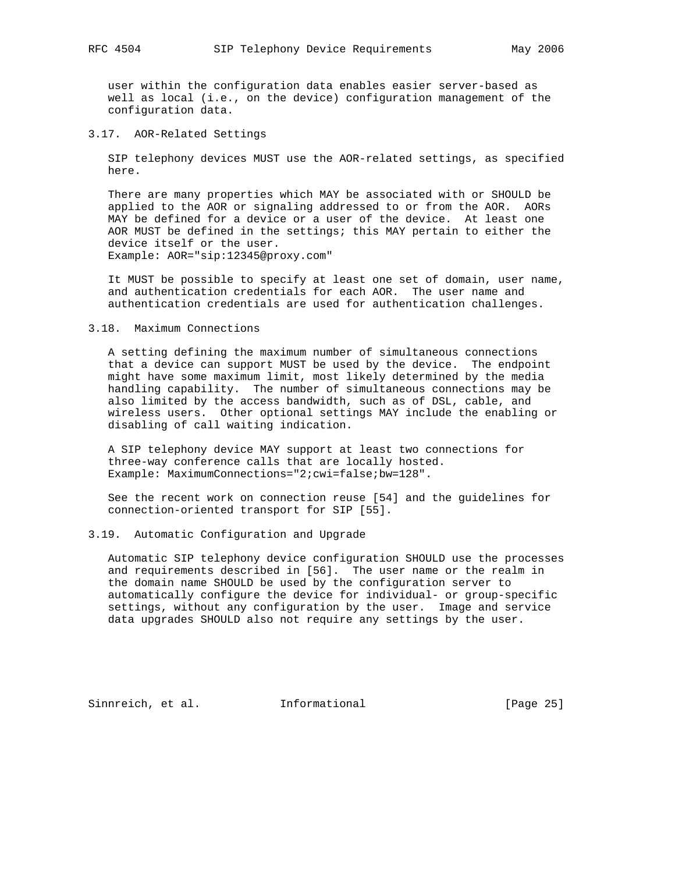user within the configuration data enables easier server-based as well as local (i.e., on the device) configuration management of the configuration data.

3.17. AOR-Related Settings

 SIP telephony devices MUST use the AOR-related settings, as specified here.

 There are many properties which MAY be associated with or SHOULD be applied to the AOR or signaling addressed to or from the AOR. AORs MAY be defined for a device or a user of the device. At least one AOR MUST be defined in the settings; this MAY pertain to either the device itself or the user. Example: AOR="sip:12345@proxy.com"

 It MUST be possible to specify at least one set of domain, user name, and authentication credentials for each AOR. The user name and authentication credentials are used for authentication challenges.

#### 3.18. Maximum Connections

 A setting defining the maximum number of simultaneous connections that a device can support MUST be used by the device. The endpoint might have some maximum limit, most likely determined by the media handling capability. The number of simultaneous connections may be also limited by the access bandwidth, such as of DSL, cable, and wireless users. Other optional settings MAY include the enabling or disabling of call waiting indication.

 A SIP telephony device MAY support at least two connections for three-way conference calls that are locally hosted. Example: MaximumConnections="2;cwi=false;bw=128".

 See the recent work on connection reuse [54] and the guidelines for connection-oriented transport for SIP [55].

#### 3.19. Automatic Configuration and Upgrade

 Automatic SIP telephony device configuration SHOULD use the processes and requirements described in [56]. The user name or the realm in the domain name SHOULD be used by the configuration server to automatically configure the device for individual- or group-specific settings, without any configuration by the user. Image and service data upgrades SHOULD also not require any settings by the user.

Sinnreich, et al. Informational [Page 25]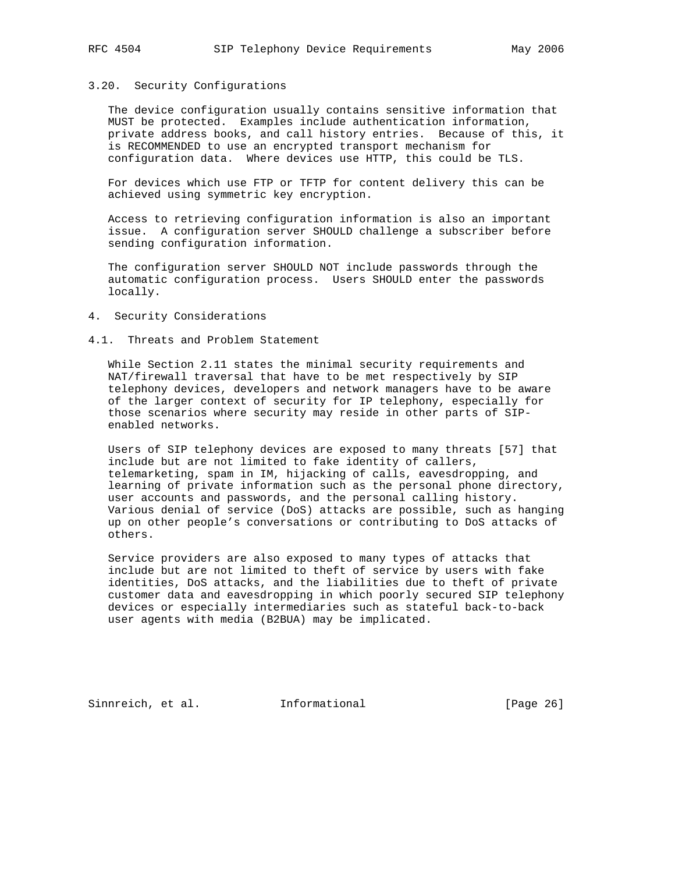# 3.20. Security Configurations

 The device configuration usually contains sensitive information that MUST be protected. Examples include authentication information, private address books, and call history entries. Because of this, it is RECOMMENDED to use an encrypted transport mechanism for configuration data. Where devices use HTTP, this could be TLS.

 For devices which use FTP or TFTP for content delivery this can be achieved using symmetric key encryption.

 Access to retrieving configuration information is also an important issue. A configuration server SHOULD challenge a subscriber before sending configuration information.

 The configuration server SHOULD NOT include passwords through the automatic configuration process. Users SHOULD enter the passwords locally.

- 4. Security Considerations
- 4.1. Threats and Problem Statement

 While Section 2.11 states the minimal security requirements and NAT/firewall traversal that have to be met respectively by SIP telephony devices, developers and network managers have to be aware of the larger context of security for IP telephony, especially for those scenarios where security may reside in other parts of SIP enabled networks.

 Users of SIP telephony devices are exposed to many threats [57] that include but are not limited to fake identity of callers, telemarketing, spam in IM, hijacking of calls, eavesdropping, and learning of private information such as the personal phone directory, user accounts and passwords, and the personal calling history. Various denial of service (DoS) attacks are possible, such as hanging up on other people's conversations or contributing to DoS attacks of others.

 Service providers are also exposed to many types of attacks that include but are not limited to theft of service by users with fake identities, DoS attacks, and the liabilities due to theft of private customer data and eavesdropping in which poorly secured SIP telephony devices or especially intermediaries such as stateful back-to-back user agents with media (B2BUA) may be implicated.

Sinnreich, et al. Informational [Page 26]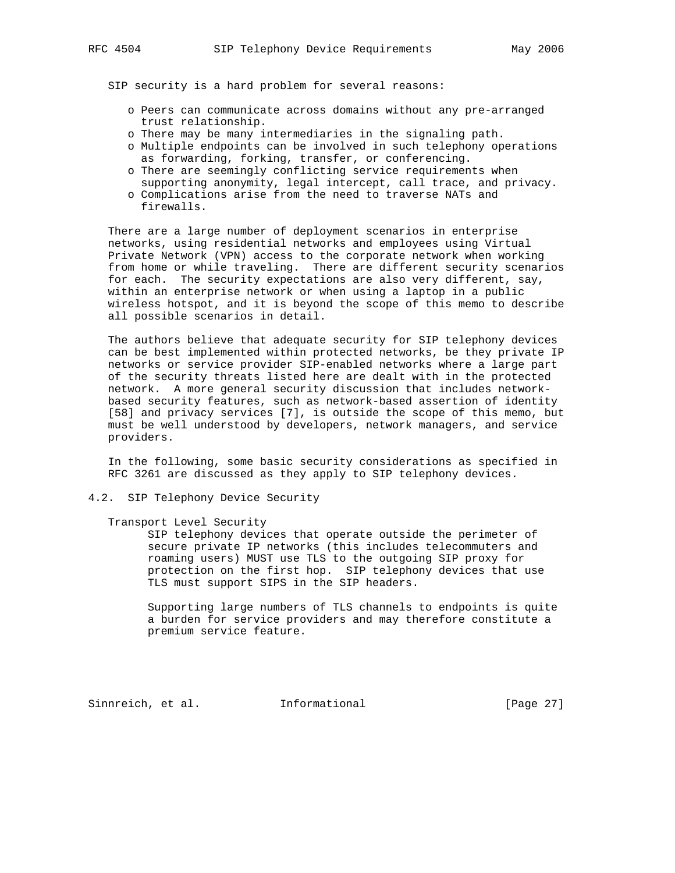SIP security is a hard problem for several reasons:

- o Peers can communicate across domains without any pre-arranged trust relationship.
- o There may be many intermediaries in the signaling path.
- o Multiple endpoints can be involved in such telephony operations as forwarding, forking, transfer, or conferencing.
- o There are seemingly conflicting service requirements when supporting anonymity, legal intercept, call trace, and privacy.
- o Complications arise from the need to traverse NATs and firewalls.

 There are a large number of deployment scenarios in enterprise networks, using residential networks and employees using Virtual Private Network (VPN) access to the corporate network when working from home or while traveling. There are different security scenarios for each. The security expectations are also very different, say, within an enterprise network or when using a laptop in a public wireless hotspot, and it is beyond the scope of this memo to describe all possible scenarios in detail.

 The authors believe that adequate security for SIP telephony devices can be best implemented within protected networks, be they private IP networks or service provider SIP-enabled networks where a large part of the security threats listed here are dealt with in the protected network. A more general security discussion that includes network based security features, such as network-based assertion of identity [58] and privacy services [7], is outside the scope of this memo, but must be well understood by developers, network managers, and service providers.

 In the following, some basic security considerations as specified in RFC 3261 are discussed as they apply to SIP telephony devices.

4.2. SIP Telephony Device Security

Transport Level Security

 SIP telephony devices that operate outside the perimeter of secure private IP networks (this includes telecommuters and roaming users) MUST use TLS to the outgoing SIP proxy for protection on the first hop. SIP telephony devices that use TLS must support SIPS in the SIP headers.

 Supporting large numbers of TLS channels to endpoints is quite a burden for service providers and may therefore constitute a premium service feature.

Sinnreich, et al. Informational [Page 27]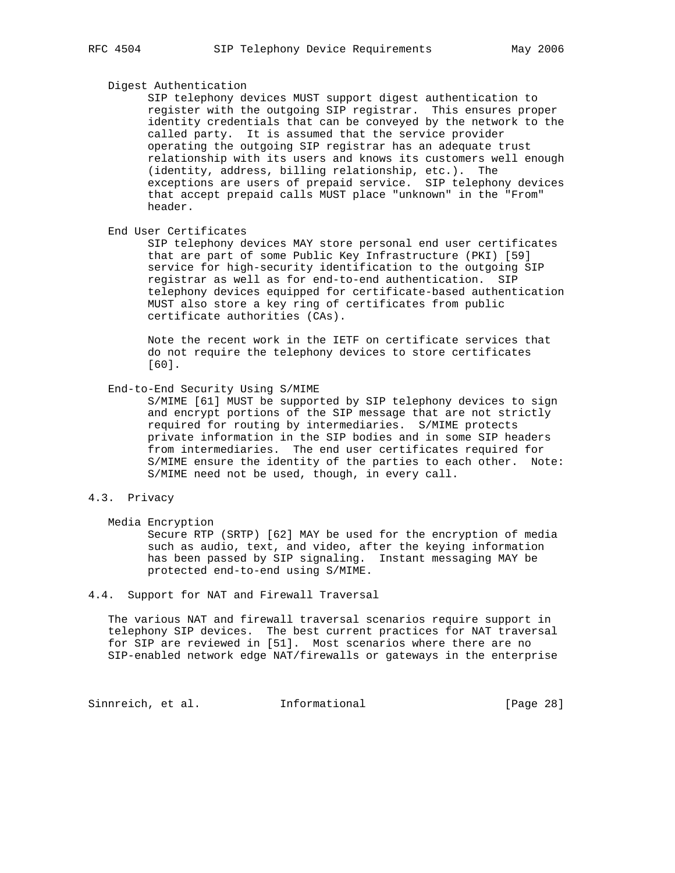### Digest Authentication

 SIP telephony devices MUST support digest authentication to register with the outgoing SIP registrar. This ensures proper identity credentials that can be conveyed by the network to the called party. It is assumed that the service provider operating the outgoing SIP registrar has an adequate trust relationship with its users and knows its customers well enough (identity, address, billing relationship, etc.). The exceptions are users of prepaid service. SIP telephony devices that accept prepaid calls MUST place "unknown" in the "From" header.

End User Certificates

 SIP telephony devices MAY store personal end user certificates that are part of some Public Key Infrastructure (PKI) [59] service for high-security identification to the outgoing SIP registrar as well as for end-to-end authentication. SIP telephony devices equipped for certificate-based authentication MUST also store a key ring of certificates from public certificate authorities (CAs).

 Note the recent work in the IETF on certificate services that do not require the telephony devices to store certificates [60].

#### End-to-End Security Using S/MIME

 S/MIME [61] MUST be supported by SIP telephony devices to sign and encrypt portions of the SIP message that are not strictly required for routing by intermediaries. S/MIME protects private information in the SIP bodies and in some SIP headers from intermediaries. The end user certificates required for S/MIME ensure the identity of the parties to each other. Note: S/MIME need not be used, though, in every call.

### 4.3. Privacy

Media Encryption

 Secure RTP (SRTP) [62] MAY be used for the encryption of media such as audio, text, and video, after the keying information has been passed by SIP signaling. Instant messaging MAY be protected end-to-end using S/MIME.

#### 4.4. Support for NAT and Firewall Traversal

 The various NAT and firewall traversal scenarios require support in telephony SIP devices. The best current practices for NAT traversal for SIP are reviewed in [51]. Most scenarios where there are no SIP-enabled network edge NAT/firewalls or gateways in the enterprise

Sinnreich, et al. 1nformational [Page 28]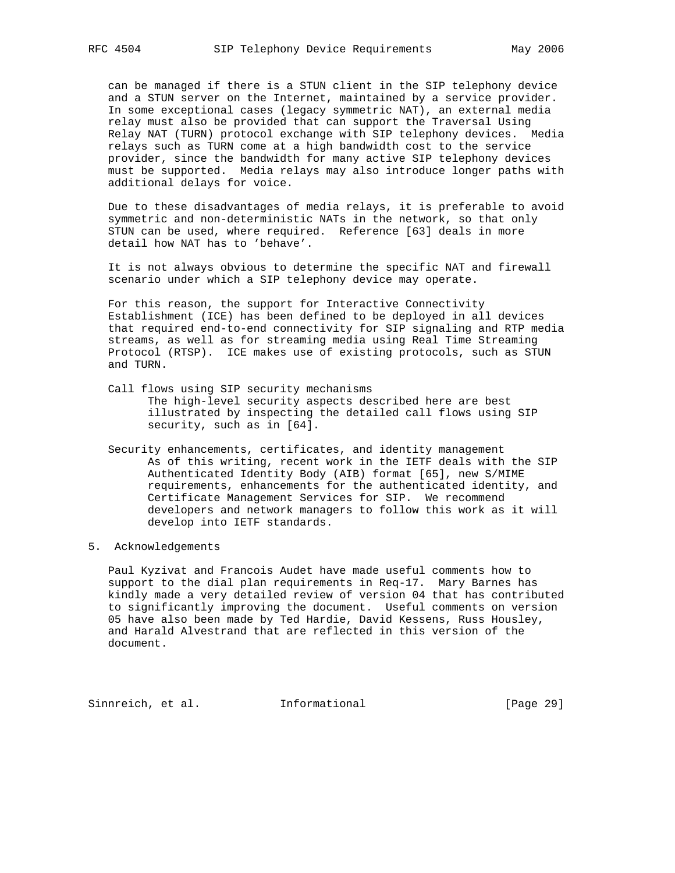can be managed if there is a STUN client in the SIP telephony device and a STUN server on the Internet, maintained by a service provider. In some exceptional cases (legacy symmetric NAT), an external media relay must also be provided that can support the Traversal Using Relay NAT (TURN) protocol exchange with SIP telephony devices. Media relays such as TURN come at a high bandwidth cost to the service provider, since the bandwidth for many active SIP telephony devices must be supported. Media relays may also introduce longer paths with additional delays for voice.

 Due to these disadvantages of media relays, it is preferable to avoid symmetric and non-deterministic NATs in the network, so that only STUN can be used, where required. Reference [63] deals in more detail how NAT has to 'behave'.

 It is not always obvious to determine the specific NAT and firewall scenario under which a SIP telephony device may operate.

 For this reason, the support for Interactive Connectivity Establishment (ICE) has been defined to be deployed in all devices that required end-to-end connectivity for SIP signaling and RTP media streams, as well as for streaming media using Real Time Streaming Protocol (RTSP). ICE makes use of existing protocols, such as STUN and TURN.

- Call flows using SIP security mechanisms The high-level security aspects described here are best illustrated by inspecting the detailed call flows using SIP security, such as in [64].
- Security enhancements, certificates, and identity management As of this writing, recent work in the IETF deals with the SIP Authenticated Identity Body (AIB) format [65], new S/MIME requirements, enhancements for the authenticated identity, and Certificate Management Services for SIP. We recommend developers and network managers to follow this work as it will develop into IETF standards.

## 5. Acknowledgements

 Paul Kyzivat and Francois Audet have made useful comments how to support to the dial plan requirements in Req-17. Mary Barnes has kindly made a very detailed review of version 04 that has contributed to significantly improving the document. Useful comments on version 05 have also been made by Ted Hardie, David Kessens, Russ Housley, and Harald Alvestrand that are reflected in this version of the document.

Sinnreich, et al. Informational [Page 29]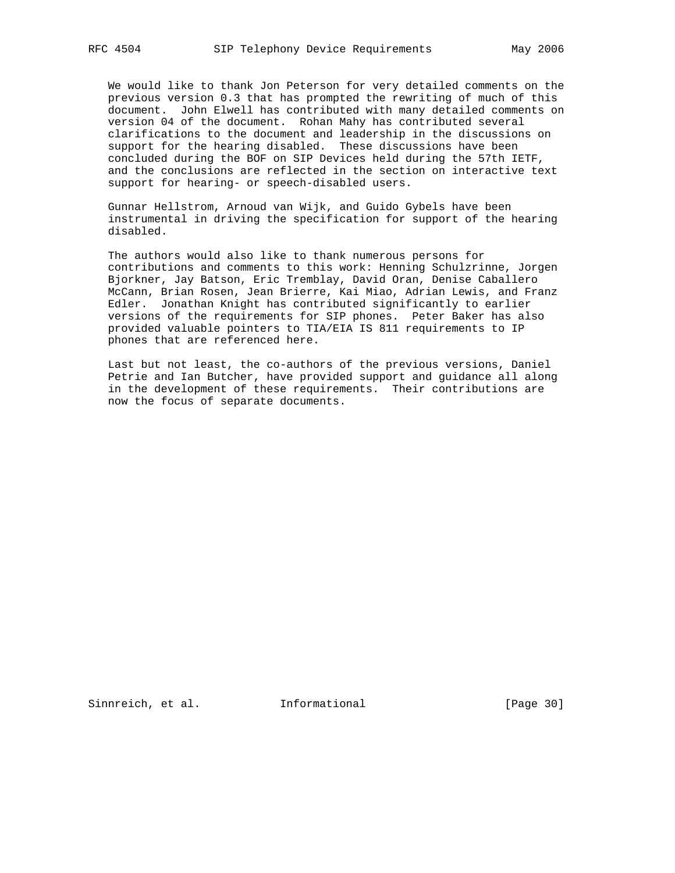We would like to thank Jon Peterson for very detailed comments on the previous version 0.3 that has prompted the rewriting of much of this document. John Elwell has contributed with many detailed comments on version 04 of the document. Rohan Mahy has contributed several clarifications to the document and leadership in the discussions on support for the hearing disabled. These discussions have been concluded during the BOF on SIP Devices held during the 57th IETF, and the conclusions are reflected in the section on interactive text support for hearing- or speech-disabled users.

 Gunnar Hellstrom, Arnoud van Wijk, and Guido Gybels have been instrumental in driving the specification for support of the hearing disabled.

 The authors would also like to thank numerous persons for contributions and comments to this work: Henning Schulzrinne, Jorgen Bjorkner, Jay Batson, Eric Tremblay, David Oran, Denise Caballero McCann, Brian Rosen, Jean Brierre, Kai Miao, Adrian Lewis, and Franz Edler. Jonathan Knight has contributed significantly to earlier versions of the requirements for SIP phones. Peter Baker has also provided valuable pointers to TIA/EIA IS 811 requirements to IP phones that are referenced here.

 Last but not least, the co-authors of the previous versions, Daniel Petrie and Ian Butcher, have provided support and guidance all along in the development of these requirements. Their contributions are now the focus of separate documents.

Sinnreich, et al. Informational [Page 30]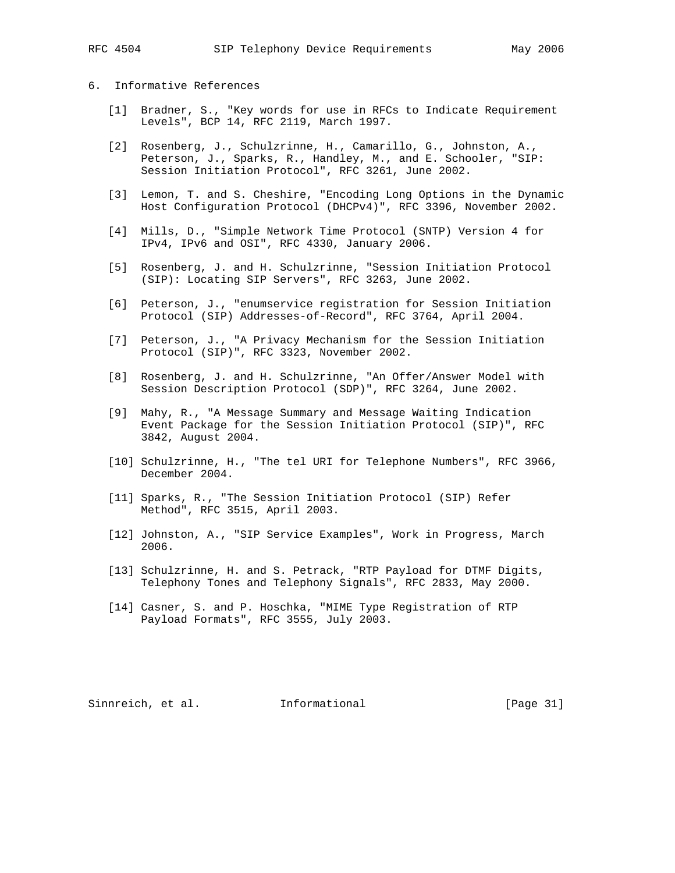## 6. Informative References

- [1] Bradner, S., "Key words for use in RFCs to Indicate Requirement Levels", BCP 14, RFC 2119, March 1997.
- [2] Rosenberg, J., Schulzrinne, H., Camarillo, G., Johnston, A., Peterson, J., Sparks, R., Handley, M., and E. Schooler, "SIP: Session Initiation Protocol", RFC 3261, June 2002.
- [3] Lemon, T. and S. Cheshire, "Encoding Long Options in the Dynamic Host Configuration Protocol (DHCPv4)", RFC 3396, November 2002.
- [4] Mills, D., "Simple Network Time Protocol (SNTP) Version 4 for IPv4, IPv6 and OSI", RFC 4330, January 2006.
- [5] Rosenberg, J. and H. Schulzrinne, "Session Initiation Protocol (SIP): Locating SIP Servers", RFC 3263, June 2002.
- [6] Peterson, J., "enumservice registration for Session Initiation Protocol (SIP) Addresses-of-Record", RFC 3764, April 2004.
- [7] Peterson, J., "A Privacy Mechanism for the Session Initiation Protocol (SIP)", RFC 3323, November 2002.
- [8] Rosenberg, J. and H. Schulzrinne, "An Offer/Answer Model with Session Description Protocol (SDP)", RFC 3264, June 2002.
- [9] Mahy, R., "A Message Summary and Message Waiting Indication Event Package for the Session Initiation Protocol (SIP)", RFC 3842, August 2004.
- [10] Schulzrinne, H., "The tel URI for Telephone Numbers", RFC 3966, December 2004.
- [11] Sparks, R., "The Session Initiation Protocol (SIP) Refer Method", RFC 3515, April 2003.
- [12] Johnston, A., "SIP Service Examples", Work in Progress, March 2006.
- [13] Schulzrinne, H. and S. Petrack, "RTP Payload for DTMF Digits, Telephony Tones and Telephony Signals", RFC 2833, May 2000.
- [14] Casner, S. and P. Hoschka, "MIME Type Registration of RTP Payload Formats", RFC 3555, July 2003.

Sinnreich, et al. Informational [Page 31]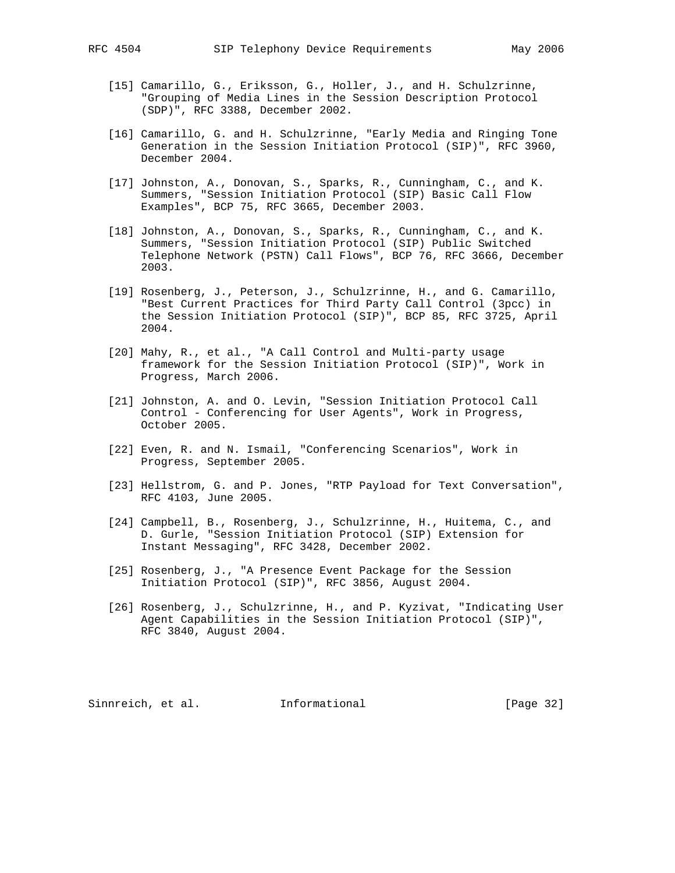- [15] Camarillo, G., Eriksson, G., Holler, J., and H. Schulzrinne, "Grouping of Media Lines in the Session Description Protocol (SDP)", RFC 3388, December 2002.
- [16] Camarillo, G. and H. Schulzrinne, "Early Media and Ringing Tone Generation in the Session Initiation Protocol (SIP)", RFC 3960, December 2004.
- [17] Johnston, A., Donovan, S., Sparks, R., Cunningham, C., and K. Summers, "Session Initiation Protocol (SIP) Basic Call Flow Examples", BCP 75, RFC 3665, December 2003.
- [18] Johnston, A., Donovan, S., Sparks, R., Cunningham, C., and K. Summers, "Session Initiation Protocol (SIP) Public Switched Telephone Network (PSTN) Call Flows", BCP 76, RFC 3666, December 2003.
- [19] Rosenberg, J., Peterson, J., Schulzrinne, H., and G. Camarillo, "Best Current Practices for Third Party Call Control (3pcc) in the Session Initiation Protocol (SIP)", BCP 85, RFC 3725, April 2004.
- [20] Mahy, R., et al., "A Call Control and Multi-party usage framework for the Session Initiation Protocol (SIP)", Work in Progress, March 2006.
- [21] Johnston, A. and O. Levin, "Session Initiation Protocol Call Control - Conferencing for User Agents", Work in Progress, October 2005.
- [22] Even, R. and N. Ismail, "Conferencing Scenarios", Work in Progress, September 2005.
- [23] Hellstrom, G. and P. Jones, "RTP Payload for Text Conversation", RFC 4103, June 2005.
- [24] Campbell, B., Rosenberg, J., Schulzrinne, H., Huitema, C., and D. Gurle, "Session Initiation Protocol (SIP) Extension for Instant Messaging", RFC 3428, December 2002.
- [25] Rosenberg, J., "A Presence Event Package for the Session Initiation Protocol (SIP)", RFC 3856, August 2004.
- [26] Rosenberg, J., Schulzrinne, H., and P. Kyzivat, "Indicating User Agent Capabilities in the Session Initiation Protocol (SIP)", RFC 3840, August 2004.

Sinnreich, et al. Informational [Page 32]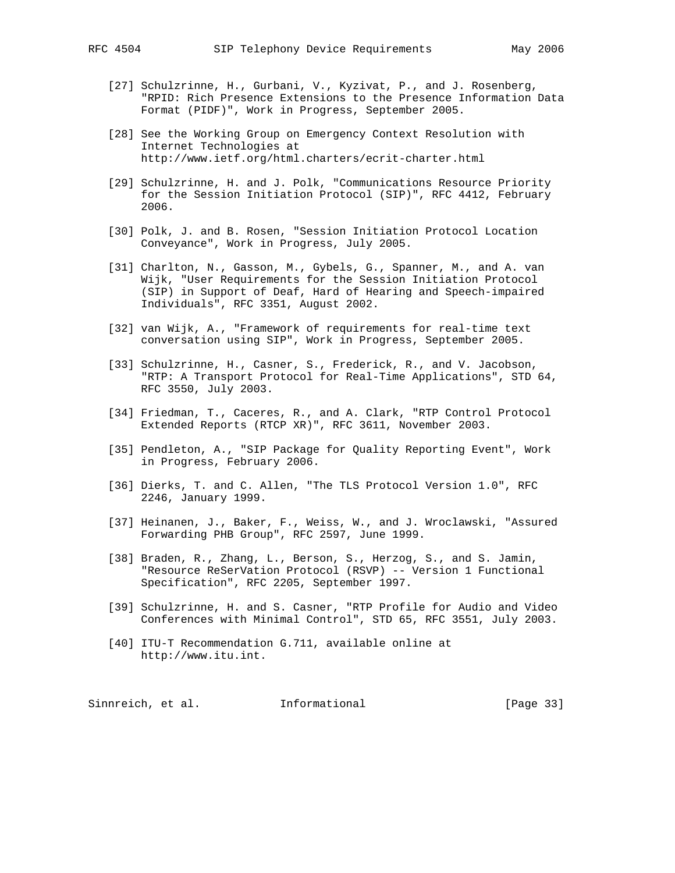- [27] Schulzrinne, H., Gurbani, V., Kyzivat, P., and J. Rosenberg, "RPID: Rich Presence Extensions to the Presence Information Data Format (PIDF)", Work in Progress, September 2005.
- [28] See the Working Group on Emergency Context Resolution with Internet Technologies at http://www.ietf.org/html.charters/ecrit-charter.html
- [29] Schulzrinne, H. and J. Polk, "Communications Resource Priority for the Session Initiation Protocol (SIP)", RFC 4412, February 2006.
- [30] Polk, J. and B. Rosen, "Session Initiation Protocol Location Conveyance", Work in Progress, July 2005.
- [31] Charlton, N., Gasson, M., Gybels, G., Spanner, M., and A. van Wijk, "User Requirements for the Session Initiation Protocol (SIP) in Support of Deaf, Hard of Hearing and Speech-impaired Individuals", RFC 3351, August 2002.
- [32] van Wijk, A., "Framework of requirements for real-time text conversation using SIP", Work in Progress, September 2005.
- [33] Schulzrinne, H., Casner, S., Frederick, R., and V. Jacobson, "RTP: A Transport Protocol for Real-Time Applications", STD 64, RFC 3550, July 2003.
- [34] Friedman, T., Caceres, R., and A. Clark, "RTP Control Protocol Extended Reports (RTCP XR)", RFC 3611, November 2003.
- [35] Pendleton, A., "SIP Package for Quality Reporting Event", Work in Progress, February 2006.
- [36] Dierks, T. and C. Allen, "The TLS Protocol Version 1.0", RFC 2246, January 1999.
- [37] Heinanen, J., Baker, F., Weiss, W., and J. Wroclawski, "Assured Forwarding PHB Group", RFC 2597, June 1999.
- [38] Braden, R., Zhang, L., Berson, S., Herzog, S., and S. Jamin, "Resource ReSerVation Protocol (RSVP) -- Version 1 Functional Specification", RFC 2205, September 1997.
- [39] Schulzrinne, H. and S. Casner, "RTP Profile for Audio and Video Conferences with Minimal Control", STD 65, RFC 3551, July 2003.
- [40] ITU-T Recommendation G.711, available online at http://www.itu.int.

Sinnreich, et al. Informational [Page 33]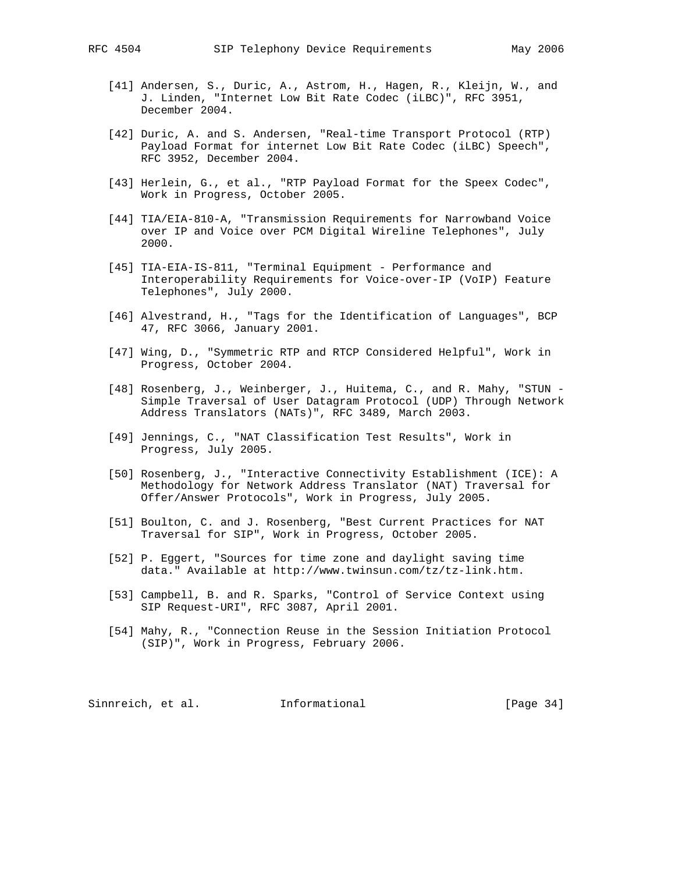- [41] Andersen, S., Duric, A., Astrom, H., Hagen, R., Kleijn, W., and J. Linden, "Internet Low Bit Rate Codec (iLBC)", RFC 3951, December 2004.
- [42] Duric, A. and S. Andersen, "Real-time Transport Protocol (RTP) Payload Format for internet Low Bit Rate Codec (iLBC) Speech", RFC 3952, December 2004.
- [43] Herlein, G., et al., "RTP Payload Format for the Speex Codec", Work in Progress, October 2005.
- [44] TIA/EIA-810-A, "Transmission Requirements for Narrowband Voice over IP and Voice over PCM Digital Wireline Telephones", July 2000.
- [45] TIA-EIA-IS-811, "Terminal Equipment Performance and Interoperability Requirements for Voice-over-IP (VoIP) Feature Telephones", July 2000.
- [46] Alvestrand, H., "Tags for the Identification of Languages", BCP 47, RFC 3066, January 2001.
- [47] Wing, D., "Symmetric RTP and RTCP Considered Helpful", Work in Progress, October 2004.
- [48] Rosenberg, J., Weinberger, J., Huitema, C., and R. Mahy, "STUN Simple Traversal of User Datagram Protocol (UDP) Through Network Address Translators (NATs)", RFC 3489, March 2003.
- [49] Jennings, C., "NAT Classification Test Results", Work in Progress, July 2005.
- [50] Rosenberg, J., "Interactive Connectivity Establishment (ICE): A Methodology for Network Address Translator (NAT) Traversal for Offer/Answer Protocols", Work in Progress, July 2005.
- [51] Boulton, C. and J. Rosenberg, "Best Current Practices for NAT Traversal for SIP", Work in Progress, October 2005.
- [52] P. Eggert, "Sources for time zone and daylight saving time data." Available at http://www.twinsun.com/tz/tz-link.htm.
- [53] Campbell, B. and R. Sparks, "Control of Service Context using SIP Request-URI", RFC 3087, April 2001.
- [54] Mahy, R., "Connection Reuse in the Session Initiation Protocol (SIP)", Work in Progress, February 2006.

Sinnreich, et al. 1nformational [Page 34]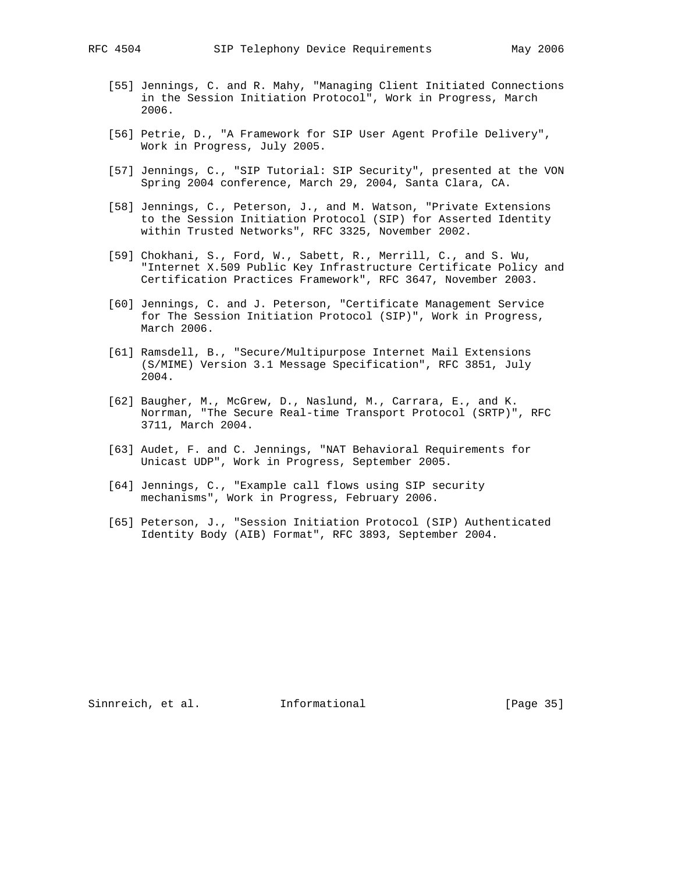- [55] Jennings, C. and R. Mahy, "Managing Client Initiated Connections in the Session Initiation Protocol", Work in Progress, March 2006.
- [56] Petrie, D., "A Framework for SIP User Agent Profile Delivery", Work in Progress, July 2005.
- [57] Jennings, C., "SIP Tutorial: SIP Security", presented at the VON Spring 2004 conference, March 29, 2004, Santa Clara, CA.
- [58] Jennings, C., Peterson, J., and M. Watson, "Private Extensions to the Session Initiation Protocol (SIP) for Asserted Identity within Trusted Networks", RFC 3325, November 2002.
- [59] Chokhani, S., Ford, W., Sabett, R., Merrill, C., and S. Wu, "Internet X.509 Public Key Infrastructure Certificate Policy and Certification Practices Framework", RFC 3647, November 2003.
- [60] Jennings, C. and J. Peterson, "Certificate Management Service for The Session Initiation Protocol (SIP)", Work in Progress, March 2006.
- [61] Ramsdell, B., "Secure/Multipurpose Internet Mail Extensions (S/MIME) Version 3.1 Message Specification", RFC 3851, July 2004.
- [62] Baugher, M., McGrew, D., Naslund, M., Carrara, E., and K. Norrman, "The Secure Real-time Transport Protocol (SRTP)", RFC 3711, March 2004.
- [63] Audet, F. and C. Jennings, "NAT Behavioral Requirements for Unicast UDP", Work in Progress, September 2005.
- [64] Jennings, C., "Example call flows using SIP security mechanisms", Work in Progress, February 2006.
- [65] Peterson, J., "Session Initiation Protocol (SIP) Authenticated Identity Body (AIB) Format", RFC 3893, September 2004.

Sinnreich, et al. Informational [Page 35]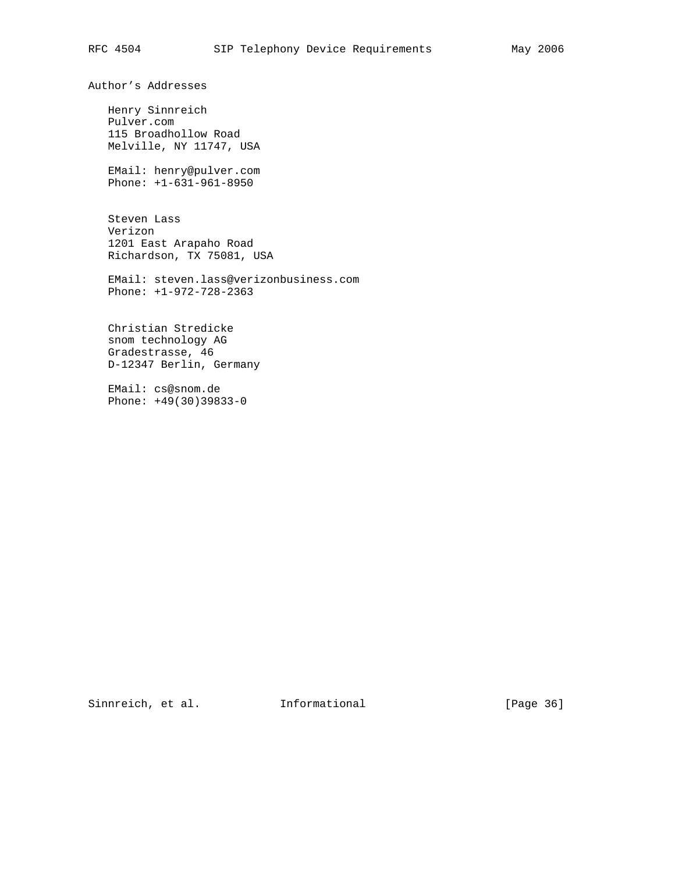Author's Addresses

 Henry Sinnreich Pulver.com 115 Broadhollow Road Melville, NY 11747, USA

 EMail: henry@pulver.com Phone: +1-631-961-8950

 Steven Lass Verizon 1201 East Arapaho Road Richardson, TX 75081, USA

 EMail: steven.lass@verizonbusiness.com Phone: +1-972-728-2363

 Christian Stredicke snom technology AG Gradestrasse, 46 D-12347 Berlin, Germany

 EMail: cs@snom.de Phone: +49(30)39833-0

Sinnreich, et al. 1nformational [Page 36]